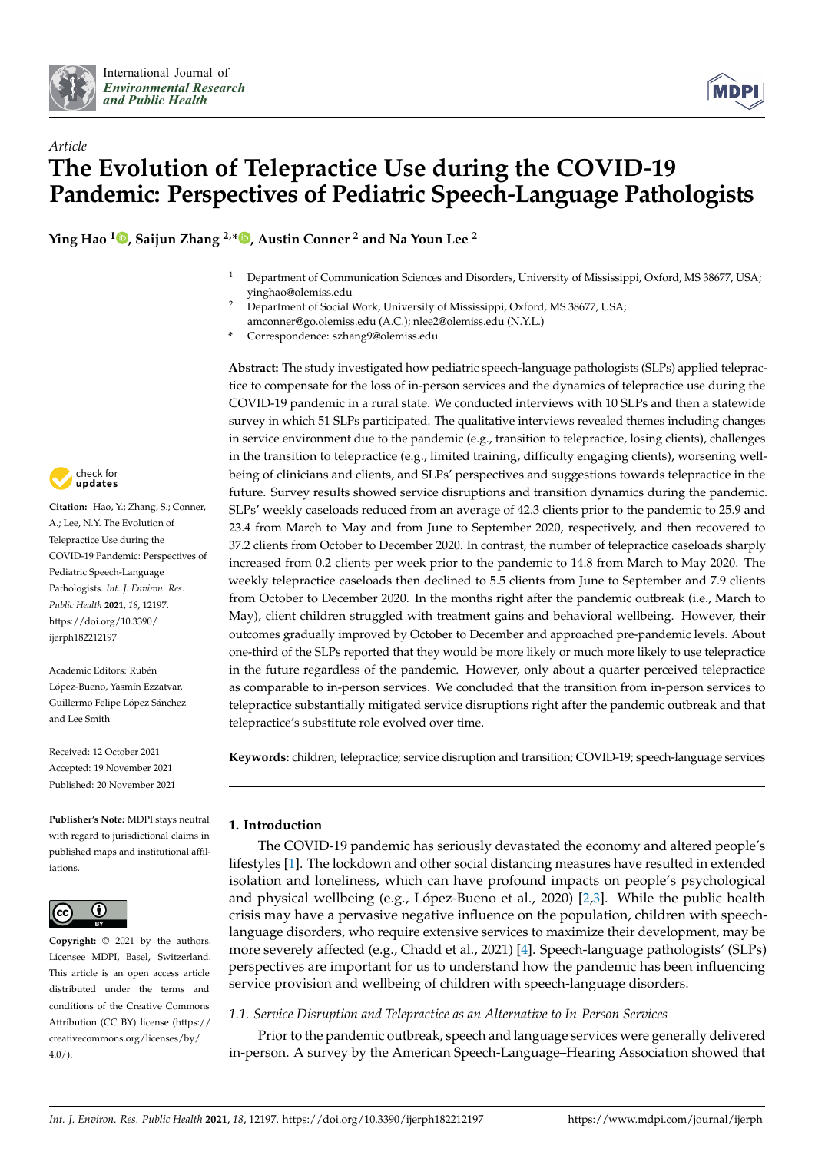



# *Article* **The Evolution of Telepractice Use during the COVID-19 Pandemic: Perspectives of Pediatric Speech-Language Pathologists**

**Ying Hao <sup>1</sup> [,](https://orcid.org/0000-0002-3291-2755) Saijun Zhang 2,[\\*](https://orcid.org/0000-0002-8974-625X) , Austin Conner <sup>2</sup> and Na Youn Lee <sup>2</sup>**

- <sup>1</sup> Department of Communication Sciences and Disorders, University of Mississippi, Oxford, MS 38677, USA; yinghao@olemiss.edu
- <sup>2</sup> Department of Social Work, University of Mississippi, Oxford, MS 38677, USA; amconner@go.olemiss.edu (A.C.); nlee2@olemiss.edu (N.Y.L.)
- **\*** Correspondence: szhang9@olemiss.edu

**Abstract:** The study investigated how pediatric speech-language pathologists (SLPs) applied telepractice to compensate for the loss of in-person services and the dynamics of telepractice use during the COVID-19 pandemic in a rural state. We conducted interviews with 10 SLPs and then a statewide survey in which 51 SLPs participated. The qualitative interviews revealed themes including changes in service environment due to the pandemic (e.g., transition to telepractice, losing clients), challenges in the transition to telepractice (e.g., limited training, difficulty engaging clients), worsening wellbeing of clinicians and clients, and SLPs' perspectives and suggestions towards telepractice in the future. Survey results showed service disruptions and transition dynamics during the pandemic. SLPs' weekly caseloads reduced from an average of 42.3 clients prior to the pandemic to 25.9 and 23.4 from March to May and from June to September 2020, respectively, and then recovered to 37.2 clients from October to December 2020. In contrast, the number of telepractice caseloads sharply increased from 0.2 clients per week prior to the pandemic to 14.8 from March to May 2020. The weekly telepractice caseloads then declined to 5.5 clients from June to September and 7.9 clients from October to December 2020. In the months right after the pandemic outbreak (i.e., March to May), client children struggled with treatment gains and behavioral wellbeing. However, their outcomes gradually improved by October to December and approached pre-pandemic levels. About one-third of the SLPs reported that they would be more likely or much more likely to use telepractice in the future regardless of the pandemic. However, only about a quarter perceived telepractice as comparable to in-person services. We concluded that the transition from in-person services to telepractice substantially mitigated service disruptions right after the pandemic outbreak and that telepractice's substitute role evolved over time.

**Keywords:** children; telepractice; service disruption and transition; COVID-19; speech-language services

### **1. Introduction**

The COVID-19 pandemic has seriously devastated the economy and altered people's lifestyles [\[1\]](#page-16-0). The lockdown and other social distancing measures have resulted in extended isolation and loneliness, which can have profound impacts on people's psychological and physical wellbeing (e.g., López-Bueno et al., 2020) [\[2](#page-16-1)[,3\]](#page-16-2). While the public health crisis may have a pervasive negative influence on the population, children with speechlanguage disorders, who require extensive services to maximize their development, may be more severely affected (e.g., Chadd et al., 2021) [\[4\]](#page-16-3). Speech-language pathologists' (SLPs) perspectives are important for us to understand how the pandemic has been influencing service provision and wellbeing of children with speech-language disorders.

### *1.1. Service Disruption and Telepractice as an Alternative to In-Person Services*

Prior to the pandemic outbreak, speech and language services were generally delivered in-person. A survey by the American Speech-Language–Hearing Association showed that



**Citation:** Hao, Y.; Zhang, S.; Conner, A.; Lee, N.Y. The Evolution of Telepractice Use during the COVID-19 Pandemic: Perspectives of Pediatric Speech-Language Pathologists. *Int. J. Environ. Res. Public Health* **2021**, *18*, 12197. [https://doi.org/10.3390/](https://doi.org/10.3390/ijerph182212197) [ijerph182212197](https://doi.org/10.3390/ijerph182212197)

Academic Editors: Rubén López-Bueno, Yasmín Ezzatvar, Guillermo Felipe López Sánchez and Lee Smith

Received: 12 October 2021 Accepted: 19 November 2021 Published: 20 November 2021

**Publisher's Note:** MDPI stays neutral with regard to jurisdictional claims in published maps and institutional affiliations.



**Copyright:** © 2021 by the authors. Licensee MDPI, Basel, Switzerland. This article is an open access article distributed under the terms and conditions of the Creative Commons Attribution (CC BY) license (https:/[/](https://creativecommons.org/licenses/by/4.0/) [creativecommons.org/licenses/by/](https://creativecommons.org/licenses/by/4.0/)  $4.0/$ ).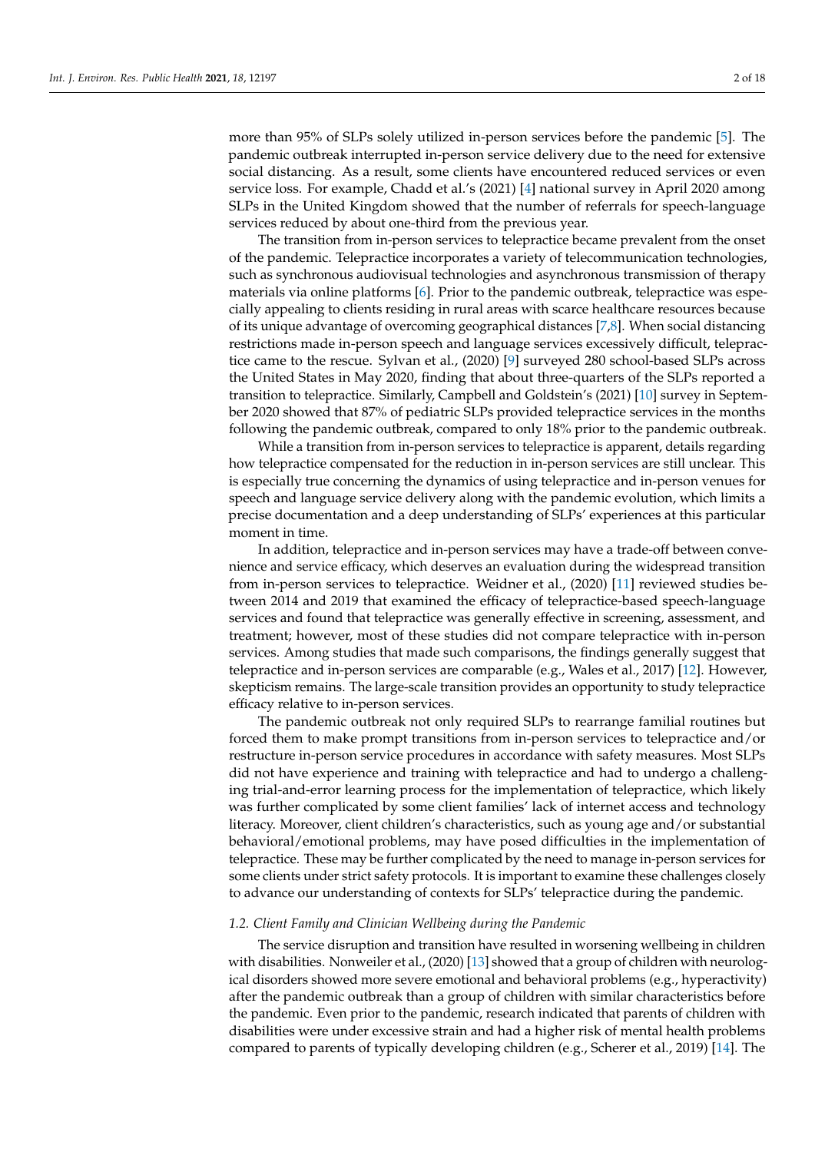more than 95% of SLPs solely utilized in-person services before the pandemic [\[5\]](#page-16-4). The pandemic outbreak interrupted in-person service delivery due to the need for extensive social distancing. As a result, some clients have encountered reduced services or even service loss. For example, Chadd et al.'s (2021) [\[4\]](#page-16-3) national survey in April 2020 among SLPs in the United Kingdom showed that the number of referrals for speech-language services reduced by about one-third from the previous year.

The transition from in-person services to telepractice became prevalent from the onset of the pandemic. Telepractice incorporates a variety of telecommunication technologies, such as synchronous audiovisual technologies and asynchronous transmission of therapy materials via online platforms [\[6\]](#page-16-5). Prior to the pandemic outbreak, telepractice was especially appealing to clients residing in rural areas with scarce healthcare resources because of its unique advantage of overcoming geographical distances [\[7,](#page-16-6)[8\]](#page-16-7). When social distancing restrictions made in-person speech and language services excessively difficult, telepractice came to the rescue. Sylvan et al., (2020) [\[9\]](#page-16-8) surveyed 280 school-based SLPs across the United States in May 2020, finding that about three-quarters of the SLPs reported a transition to telepractice. Similarly, Campbell and Goldstein's (2021) [\[10\]](#page-16-9) survey in September 2020 showed that 87% of pediatric SLPs provided telepractice services in the months following the pandemic outbreak, compared to only 18% prior to the pandemic outbreak.

While a transition from in-person services to telepractice is apparent, details regarding how telepractice compensated for the reduction in in-person services are still unclear. This is especially true concerning the dynamics of using telepractice and in-person venues for speech and language service delivery along with the pandemic evolution, which limits a precise documentation and a deep understanding of SLPs' experiences at this particular moment in time.

In addition, telepractice and in-person services may have a trade-off between convenience and service efficacy, which deserves an evaluation during the widespread transition from in-person services to telepractice. Weidner et al., (2020) [\[11\]](#page-16-10) reviewed studies between 2014 and 2019 that examined the efficacy of telepractice-based speech-language services and found that telepractice was generally effective in screening, assessment, and treatment; however, most of these studies did not compare telepractice with in-person services. Among studies that made such comparisons, the findings generally suggest that telepractice and in-person services are comparable (e.g., Wales et al., 2017) [\[12\]](#page-16-11). However, skepticism remains. The large-scale transition provides an opportunity to study telepractice efficacy relative to in-person services.

The pandemic outbreak not only required SLPs to rearrange familial routines but forced them to make prompt transitions from in-person services to telepractice and/or restructure in-person service procedures in accordance with safety measures. Most SLPs did not have experience and training with telepractice and had to undergo a challenging trial-and-error learning process for the implementation of telepractice, which likely was further complicated by some client families' lack of internet access and technology literacy. Moreover, client children's characteristics, such as young age and/or substantial behavioral/emotional problems, may have posed difficulties in the implementation of telepractice. These may be further complicated by the need to manage in-person services for some clients under strict safety protocols. It is important to examine these challenges closely to advance our understanding of contexts for SLPs' telepractice during the pandemic.

#### *1.2. Client Family and Clinician Wellbeing during the Pandemic*

The service disruption and transition have resulted in worsening wellbeing in children with disabilities. Nonweiler et al., (2020) [\[13\]](#page-16-12) showed that a group of children with neurological disorders showed more severe emotional and behavioral problems (e.g., hyperactivity) after the pandemic outbreak than a group of children with similar characteristics before the pandemic. Even prior to the pandemic, research indicated that parents of children with disabilities were under excessive strain and had a higher risk of mental health problems compared to parents of typically developing children (e.g., Scherer et al., 2019) [\[14\]](#page-16-13). The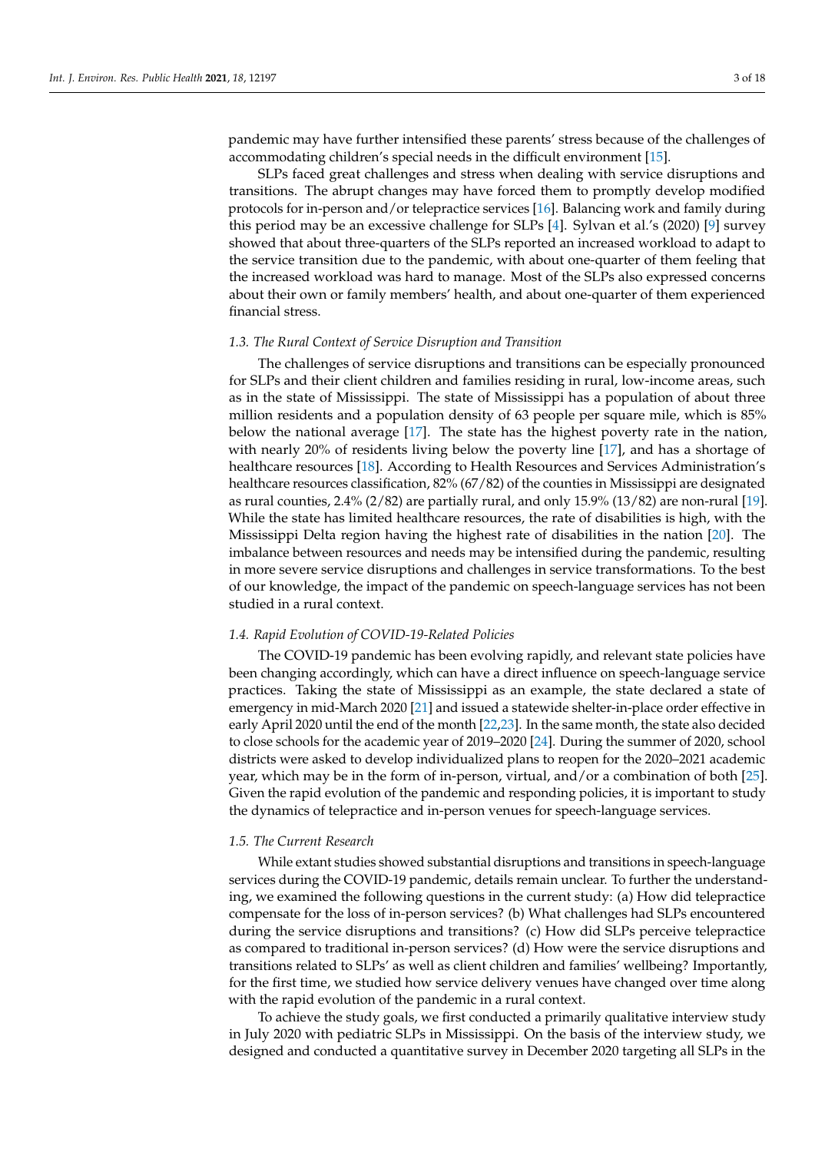pandemic may have further intensified these parents' stress because of the challenges of accommodating children's special needs in the difficult environment [\[15\]](#page-16-14).

SLPs faced great challenges and stress when dealing with service disruptions and transitions. The abrupt changes may have forced them to promptly develop modified protocols for in-person and/or telepractice services [\[16\]](#page-16-15). Balancing work and family during this period may be an excessive challenge for SLPs [\[4\]](#page-16-3). Sylvan et al.'s (2020) [\[9\]](#page-16-8) survey showed that about three-quarters of the SLPs reported an increased workload to adapt to the service transition due to the pandemic, with about one-quarter of them feeling that the increased workload was hard to manage. Most of the SLPs also expressed concerns about their own or family members' health, and about one-quarter of them experienced financial stress.

### *1.3. The Rural Context of Service Disruption and Transition*

The challenges of service disruptions and transitions can be especially pronounced for SLPs and their client children and families residing in rural, low-income areas, such as in the state of Mississippi. The state of Mississippi has a population of about three million residents and a population density of 63 people per square mile, which is 85% below the national average [\[17\]](#page-16-16). The state has the highest poverty rate in the nation, with nearly 20% of residents living below the poverty line [\[17\]](#page-16-16), and has a shortage of healthcare resources [\[18\]](#page-16-17). According to Health Resources and Services Administration's healthcare resources classification, 82% (67/82) of the counties in Mississippi are designated as rural counties, 2.4% (2/82) are partially rural, and only 15.9% (13/82) are non-rural [\[19\]](#page-16-18). While the state has limited healthcare resources, the rate of disabilities is high, with the Mississippi Delta region having the highest rate of disabilities in the nation [\[20\]](#page-16-19). The imbalance between resources and needs may be intensified during the pandemic, resulting in more severe service disruptions and challenges in service transformations. To the best of our knowledge, the impact of the pandemic on speech-language services has not been studied in a rural context.

#### *1.4. Rapid Evolution of COVID-19-Related Policies*

The COVID-19 pandemic has been evolving rapidly, and relevant state policies have been changing accordingly, which can have a direct influence on speech-language service practices. Taking the state of Mississippi as an example, the state declared a state of emergency in mid-March 2020 [\[21\]](#page-16-20) and issued a statewide shelter-in-place order effective in early April 2020 until the end of the month [\[22](#page-16-21)[,23\]](#page-16-22). In the same month, the state also decided to close schools for the academic year of 2019–2020 [\[24\]](#page-16-23). During the summer of 2020, school districts were asked to develop individualized plans to reopen for the 2020–2021 academic year, which may be in the form of in-person, virtual, and/or a combination of both [\[25\]](#page-16-24). Given the rapid evolution of the pandemic and responding policies, it is important to study the dynamics of telepractice and in-person venues for speech-language services.

#### *1.5. The Current Research*

While extant studies showed substantial disruptions and transitions in speech-language services during the COVID-19 pandemic, details remain unclear. To further the understanding, we examined the following questions in the current study: (a) How did telepractice compensate for the loss of in-person services? (b) What challenges had SLPs encountered during the service disruptions and transitions? (c) How did SLPs perceive telepractice as compared to traditional in-person services? (d) How were the service disruptions and transitions related to SLPs' as well as client children and families' wellbeing? Importantly, for the first time, we studied how service delivery venues have changed over time along with the rapid evolution of the pandemic in a rural context.

To achieve the study goals, we first conducted a primarily qualitative interview study in July 2020 with pediatric SLPs in Mississippi. On the basis of the interview study, we designed and conducted a quantitative survey in December 2020 targeting all SLPs in the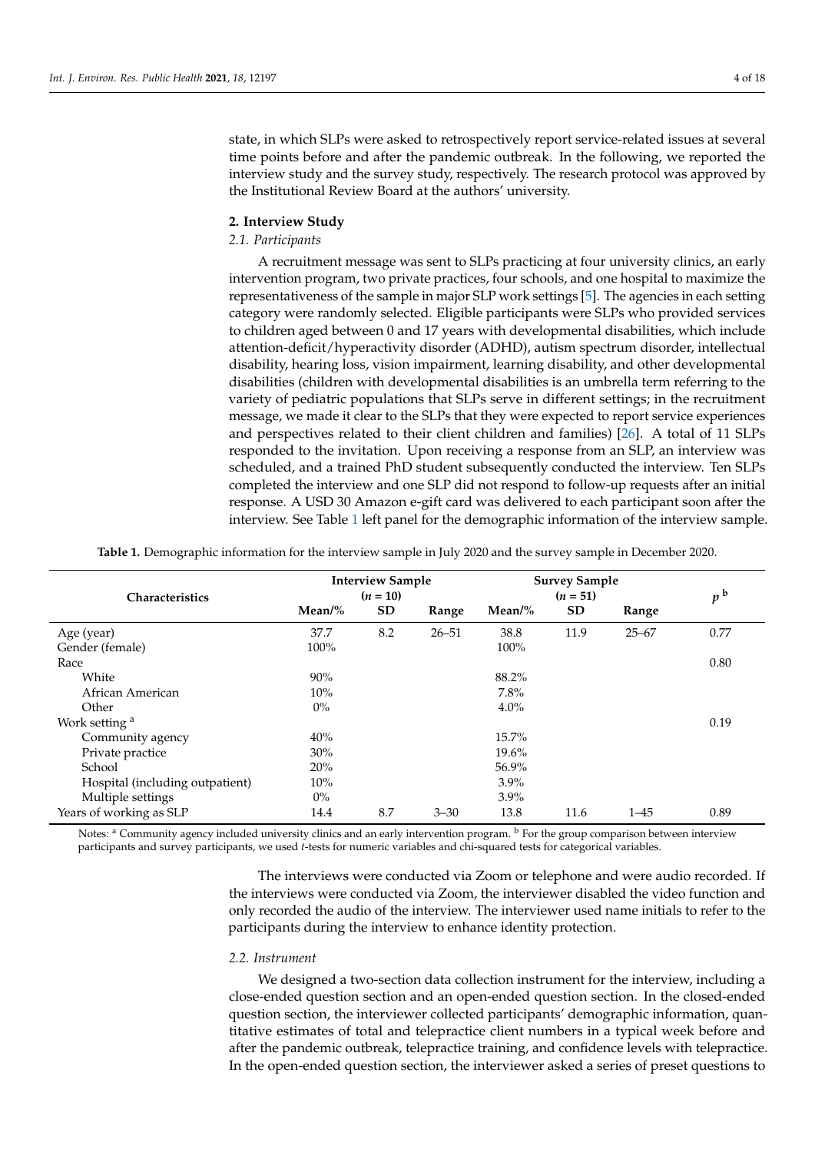state, in which SLPs were asked to retrospectively report service-related issues at several time points before and after the pandemic outbreak. In the following, we reported the interview study and the survey study, respectively. The research protocol was approved by the Institutional Review Board at the authors' university.

#### **2. Interview Study**

#### *2.1. Participants*

A recruitment message was sent to SLPs practicing at four university clinics, an early intervention program, two private practices, four schools, and one hospital to maximize the representativeness of the sample in major SLP work settings [\[5\]](#page-16-4). The agencies in each setting category were randomly selected. Eligible participants were SLPs who provided services to children aged between 0 and 17 years with developmental disabilities, which include attention-deficit/hyperactivity disorder (ADHD), autism spectrum disorder, intellectual disability, hearing loss, vision impairment, learning disability, and other developmental disabilities (children with developmental disabilities is an umbrella term referring to the variety of pediatric populations that SLPs serve in different settings; in the recruitment message, we made it clear to the SLPs that they were expected to report service experiences and perspectives related to their client children and families) [\[26\]](#page-16-25). A total of 11 SLPs responded to the invitation. Upon receiving a response from an SLP, an interview was scheduled, and a trained PhD student subsequently conducted the interview. Ten SLPs completed the interview and one SLP did not respond to follow-up requests after an initial response. A USD 30 Amazon e-gift card was delivered to each participant soon after the interview. See Table [1](#page-3-0) left panel for the demographic information of the interview sample.

<span id="page-3-0"></span>

| Characteristics                 | <b>Interview Sample</b><br>$(n = 10)$ |     |           | <b>Survey Sample</b><br>$(n = 51)$ |      |           | p <sup>b</sup> |
|---------------------------------|---------------------------------------|-----|-----------|------------------------------------|------|-----------|----------------|
|                                 | $Mean\%$                              | SD  | Range     | Mean/ $%$                          | SD   | Range     |                |
| Age (year)                      | 37.7                                  | 8.2 | $26 - 51$ | 38.8                               | 11.9 | $25 - 67$ | 0.77           |
| Gender (female)                 | 100%                                  |     |           | 100%                               |      |           |                |
| Race                            |                                       |     |           |                                    |      |           | 0.80           |
| White                           | 90%                                   |     |           | 88.2%                              |      |           |                |
| African American                | 10%                                   |     |           | 7.8%                               |      |           |                |
| Other                           | $0\%$                                 |     |           | $4.0\%$                            |      |           |                |
| Work setting <sup>a</sup>       |                                       |     |           |                                    |      |           | 0.19           |
| Community agency                | 40%                                   |     |           | 15.7%                              |      |           |                |
| Private practice                | 30%                                   |     |           | 19.6%                              |      |           |                |
| School                          | 20%                                   |     |           | 56.9%                              |      |           |                |
| Hospital (including outpatient) | 10%                                   |     |           | $3.9\%$                            |      |           |                |
| Multiple settings               | $0\%$                                 |     |           | $3.9\%$                            |      |           |                |
| Years of working as SLP         | 14.4                                  | 8.7 | $3 - 30$  | 13.8                               | 11.6 | $1 - 45$  | 0.89           |

**Table 1.** Demographic information for the interview sample in July 2020 and the survey sample in December 2020.

Notes: <sup>a</sup> Community agency included university clinics and an early intervention program. <sup>b</sup> For the group comparison between interview participants and survey participants, we used *t*-tests for numeric variables and chi-squared tests for categorical variables.

> The interviews were conducted via Zoom or telephone and were audio recorded. If the interviews were conducted via Zoom, the interviewer disabled the video function and only recorded the audio of the interview. The interviewer used name initials to refer to the participants during the interview to enhance identity protection.

#### *2.2. Instrument*

We designed a two-section data collection instrument for the interview, including a close-ended question section and an open-ended question section. In the closed-ended question section, the interviewer collected participants' demographic information, quantitative estimates of total and telepractice client numbers in a typical week before and after the pandemic outbreak, telepractice training, and confidence levels with telepractice. In the open-ended question section, the interviewer asked a series of preset questions to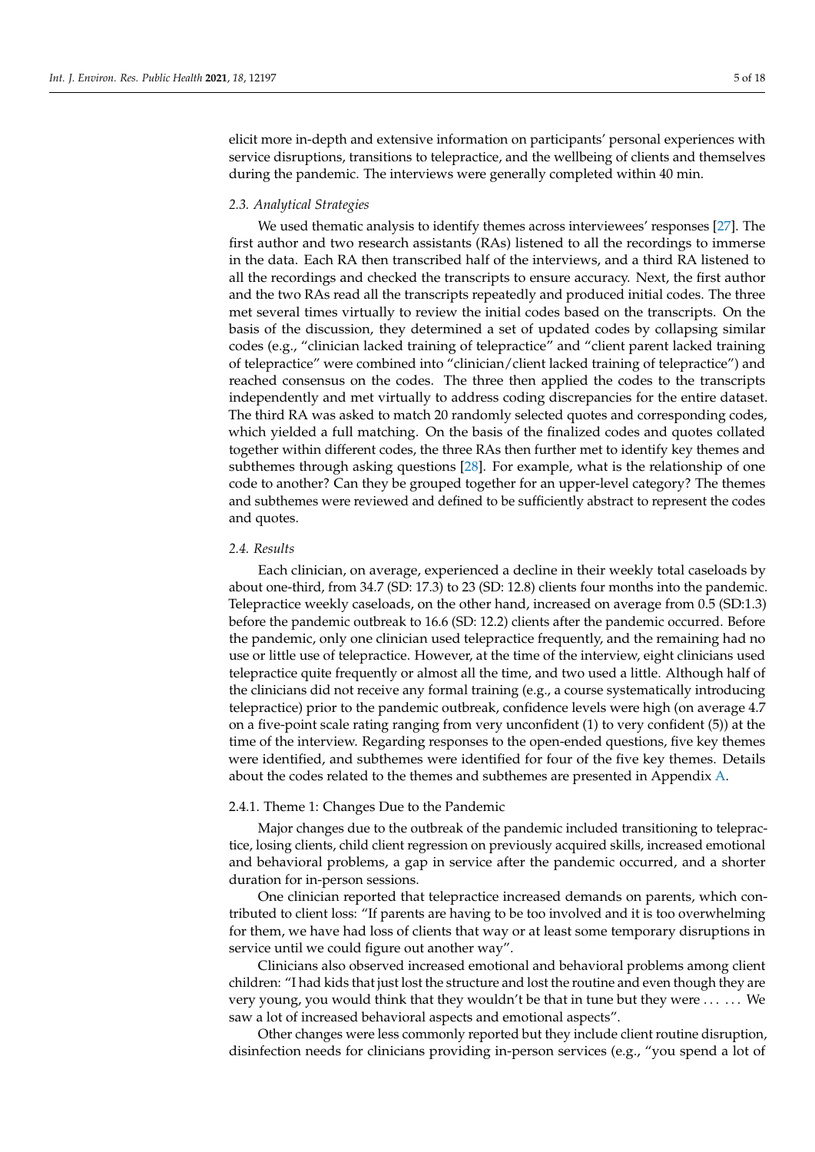elicit more in-depth and extensive information on participants' personal experiences with service disruptions, transitions to telepractice, and the wellbeing of clients and themselves during the pandemic. The interviews were generally completed within 40 min.

#### *2.3. Analytical Strategies*

We used thematic analysis to identify themes across interviewees' responses [\[27\]](#page-16-26). The first author and two research assistants (RAs) listened to all the recordings to immerse in the data. Each RA then transcribed half of the interviews, and a third RA listened to all the recordings and checked the transcripts to ensure accuracy. Next, the first author and the two RAs read all the transcripts repeatedly and produced initial codes. The three met several times virtually to review the initial codes based on the transcripts. On the basis of the discussion, they determined a set of updated codes by collapsing similar codes (e.g., "clinician lacked training of telepractice" and "client parent lacked training of telepractice" were combined into "clinician/client lacked training of telepractice") and reached consensus on the codes. The three then applied the codes to the transcripts independently and met virtually to address coding discrepancies for the entire dataset. The third RA was asked to match 20 randomly selected quotes and corresponding codes, which yielded a full matching. On the basis of the finalized codes and quotes collated together within different codes, the three RAs then further met to identify key themes and subthemes through asking questions [\[28\]](#page-16-27). For example, what is the relationship of one code to another? Can they be grouped together for an upper-level category? The themes and subthemes were reviewed and defined to be sufficiently abstract to represent the codes and quotes.

#### *2.4. Results*

Each clinician, on average, experienced a decline in their weekly total caseloads by about one-third, from 34.7 (SD: 17.3) to 23 (SD: 12.8) clients four months into the pandemic. Telepractice weekly caseloads, on the other hand, increased on average from 0.5 (SD:1.3) before the pandemic outbreak to 16.6 (SD: 12.2) clients after the pandemic occurred. Before the pandemic, only one clinician used telepractice frequently, and the remaining had no use or little use of telepractice. However, at the time of the interview, eight clinicians used telepractice quite frequently or almost all the time, and two used a little. Although half of the clinicians did not receive any formal training (e.g., a course systematically introducing telepractice) prior to the pandemic outbreak, confidence levels were high (on average 4.7 on a five-point scale rating ranging from very unconfident (1) to very confident (5)) at the time of the interview. Regarding responses to the open-ended questions, five key themes were identified, and subthemes were identified for four of the five key themes. Details about the codes related to the themes and subthemes are presented in Appendix [A.](#page-13-0)

#### 2.4.1. Theme 1: Changes Due to the Pandemic

Major changes due to the outbreak of the pandemic included transitioning to telepractice, losing clients, child client regression on previously acquired skills, increased emotional and behavioral problems, a gap in service after the pandemic occurred, and a shorter duration for in-person sessions.

One clinician reported that telepractice increased demands on parents, which contributed to client loss: "If parents are having to be too involved and it is too overwhelming for them, we have had loss of clients that way or at least some temporary disruptions in service until we could figure out another way".

Clinicians also observed increased emotional and behavioral problems among client children: "I had kids that just lost the structure and lost the routine and even though they are very young, you would think that they wouldn't be that in tune but they were . . . . . . We saw a lot of increased behavioral aspects and emotional aspects".

Other changes were less commonly reported but they include client routine disruption, disinfection needs for clinicians providing in-person services (e.g., "you spend a lot of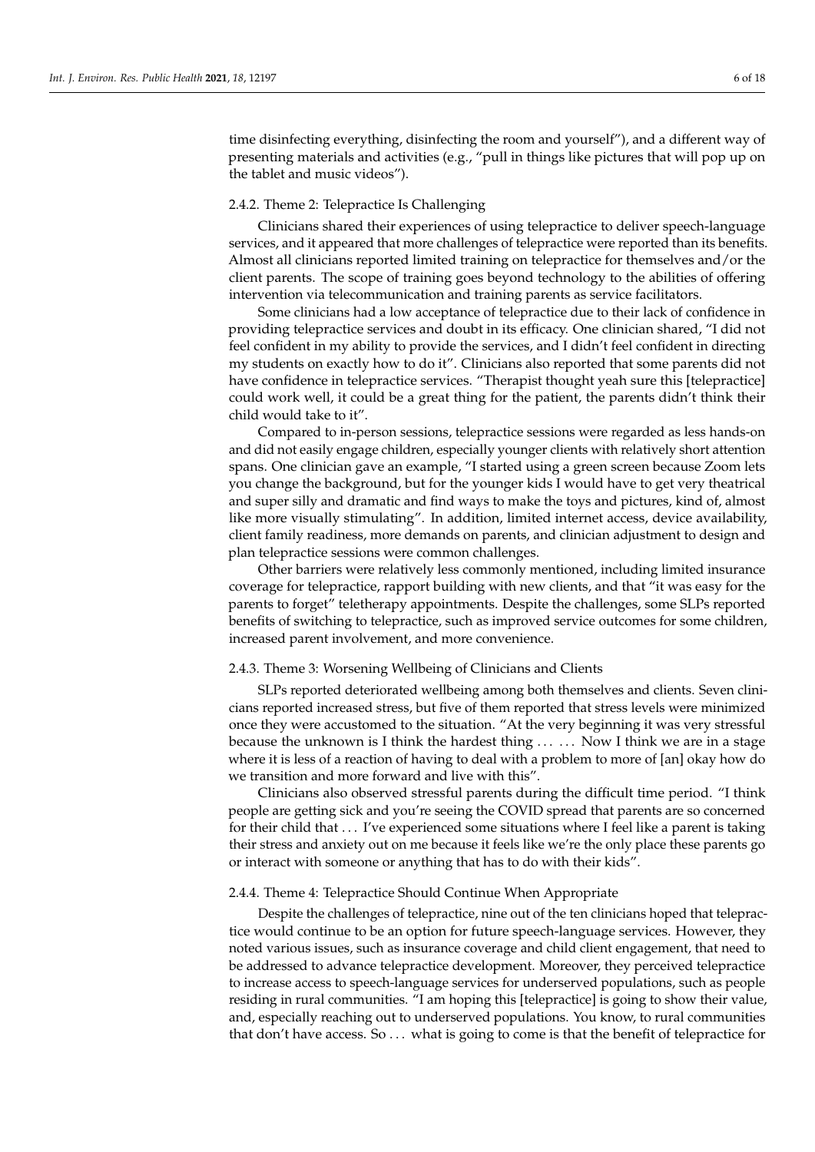time disinfecting everything, disinfecting the room and yourself"), and a different way of presenting materials and activities (e.g., "pull in things like pictures that will pop up on the tablet and music videos").

#### 2.4.2. Theme 2: Telepractice Is Challenging

Clinicians shared their experiences of using telepractice to deliver speech-language services, and it appeared that more challenges of telepractice were reported than its benefits. Almost all clinicians reported limited training on telepractice for themselves and/or the client parents. The scope of training goes beyond technology to the abilities of offering intervention via telecommunication and training parents as service facilitators.

Some clinicians had a low acceptance of telepractice due to their lack of confidence in providing telepractice services and doubt in its efficacy. One clinician shared, "I did not feel confident in my ability to provide the services, and I didn't feel confident in directing my students on exactly how to do it". Clinicians also reported that some parents did not have confidence in telepractice services. "Therapist thought yeah sure this [telepractice] could work well, it could be a great thing for the patient, the parents didn't think their child would take to it".

Compared to in-person sessions, telepractice sessions were regarded as less hands-on and did not easily engage children, especially younger clients with relatively short attention spans. One clinician gave an example, "I started using a green screen because Zoom lets you change the background, but for the younger kids I would have to get very theatrical and super silly and dramatic and find ways to make the toys and pictures, kind of, almost like more visually stimulating". In addition, limited internet access, device availability, client family readiness, more demands on parents, and clinician adjustment to design and plan telepractice sessions were common challenges.

Other barriers were relatively less commonly mentioned, including limited insurance coverage for telepractice, rapport building with new clients, and that "it was easy for the parents to forget" teletherapy appointments. Despite the challenges, some SLPs reported benefits of switching to telepractice, such as improved service outcomes for some children, increased parent involvement, and more convenience.

#### 2.4.3. Theme 3: Worsening Wellbeing of Clinicians and Clients

SLPs reported deteriorated wellbeing among both themselves and clients. Seven clinicians reported increased stress, but five of them reported that stress levels were minimized once they were accustomed to the situation. "At the very beginning it was very stressful because the unknown is I think the hardest thing ... ... Now I think we are in a stage where it is less of a reaction of having to deal with a problem to more of [an] okay how do we transition and more forward and live with this".

Clinicians also observed stressful parents during the difficult time period. "I think people are getting sick and you're seeing the COVID spread that parents are so concerned for their child that . . . I've experienced some situations where I feel like a parent is taking their stress and anxiety out on me because it feels like we're the only place these parents go or interact with someone or anything that has to do with their kids".

#### 2.4.4. Theme 4: Telepractice Should Continue When Appropriate

Despite the challenges of telepractice, nine out of the ten clinicians hoped that telepractice would continue to be an option for future speech-language services. However, they noted various issues, such as insurance coverage and child client engagement, that need to be addressed to advance telepractice development. Moreover, they perceived telepractice to increase access to speech-language services for underserved populations, such as people residing in rural communities. "I am hoping this [telepractice] is going to show their value, and, especially reaching out to underserved populations. You know, to rural communities that don't have access. So . . . what is going to come is that the benefit of telepractice for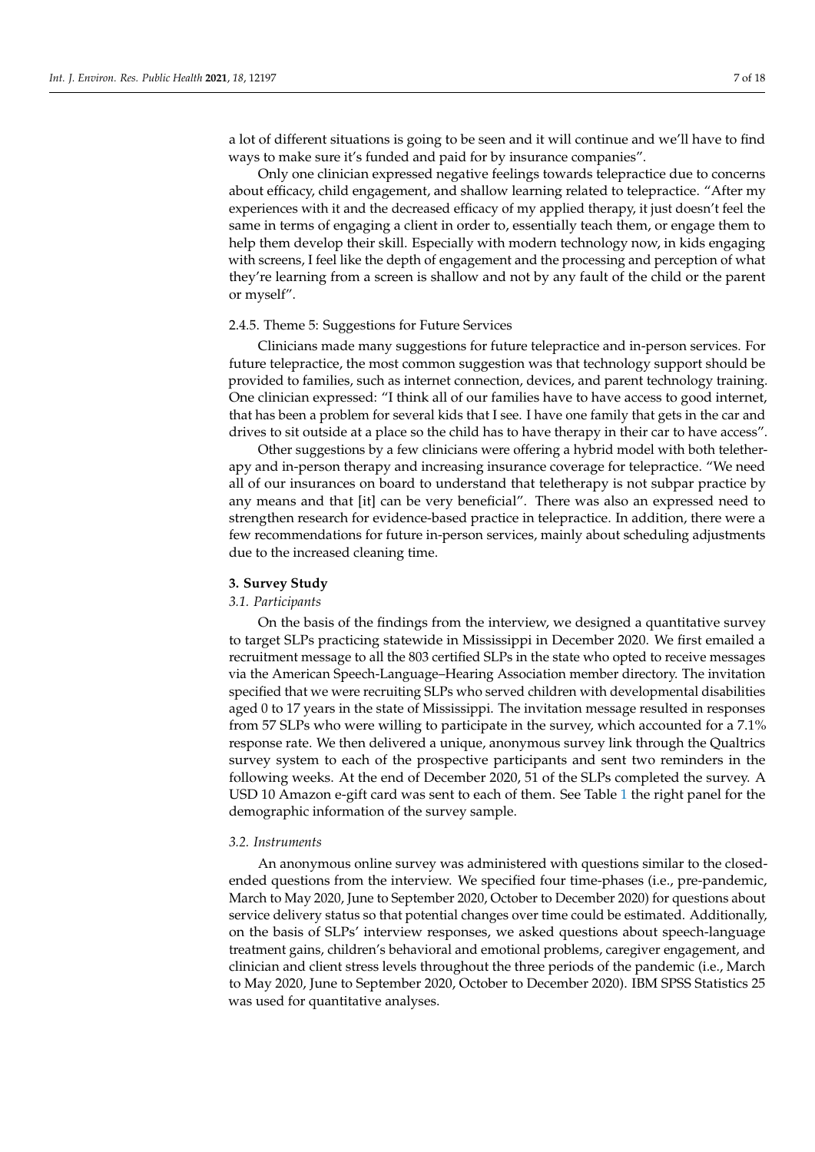a lot of different situations is going to be seen and it will continue and we'll have to find ways to make sure it's funded and paid for by insurance companies".

Only one clinician expressed negative feelings towards telepractice due to concerns about efficacy, child engagement, and shallow learning related to telepractice. "After my experiences with it and the decreased efficacy of my applied therapy, it just doesn't feel the same in terms of engaging a client in order to, essentially teach them, or engage them to help them develop their skill. Especially with modern technology now, in kids engaging with screens, I feel like the depth of engagement and the processing and perception of what they're learning from a screen is shallow and not by any fault of the child or the parent or myself".

#### 2.4.5. Theme 5: Suggestions for Future Services

Clinicians made many suggestions for future telepractice and in-person services. For future telepractice, the most common suggestion was that technology support should be provided to families, such as internet connection, devices, and parent technology training. One clinician expressed: "I think all of our families have to have access to good internet, that has been a problem for several kids that I see. I have one family that gets in the car and drives to sit outside at a place so the child has to have therapy in their car to have access".

Other suggestions by a few clinicians were offering a hybrid model with both teletherapy and in-person therapy and increasing insurance coverage for telepractice. "We need all of our insurances on board to understand that teletherapy is not subpar practice by any means and that [it] can be very beneficial". There was also an expressed need to strengthen research for evidence-based practice in telepractice. In addition, there were a few recommendations for future in-person services, mainly about scheduling adjustments due to the increased cleaning time.

#### **3. Survey Study**

#### *3.1. Participants*

On the basis of the findings from the interview, we designed a quantitative survey to target SLPs practicing statewide in Mississippi in December 2020. We first emailed a recruitment message to all the 803 certified SLPs in the state who opted to receive messages via the American Speech-Language–Hearing Association member directory. The invitation specified that we were recruiting SLPs who served children with developmental disabilities aged 0 to 17 years in the state of Mississippi. The invitation message resulted in responses from 57 SLPs who were willing to participate in the survey, which accounted for a 7.1% response rate. We then delivered a unique, anonymous survey link through the Qualtrics survey system to each of the prospective participants and sent two reminders in the following weeks. At the end of December 2020, 51 of the SLPs completed the survey. A USD 10 Amazon e-gift card was sent to each of them. See Table [1](#page-3-0) the right panel for the demographic information of the survey sample.

#### *3.2. Instruments*

An anonymous online survey was administered with questions similar to the closedended questions from the interview. We specified four time-phases (i.e., pre-pandemic, March to May 2020, June to September 2020, October to December 2020) for questions about service delivery status so that potential changes over time could be estimated. Additionally, on the basis of SLPs' interview responses, we asked questions about speech-language treatment gains, children's behavioral and emotional problems, caregiver engagement, and clinician and client stress levels throughout the three periods of the pandemic (i.e., March to May 2020, June to September 2020, October to December 2020). IBM SPSS Statistics 25 was used for quantitative analyses.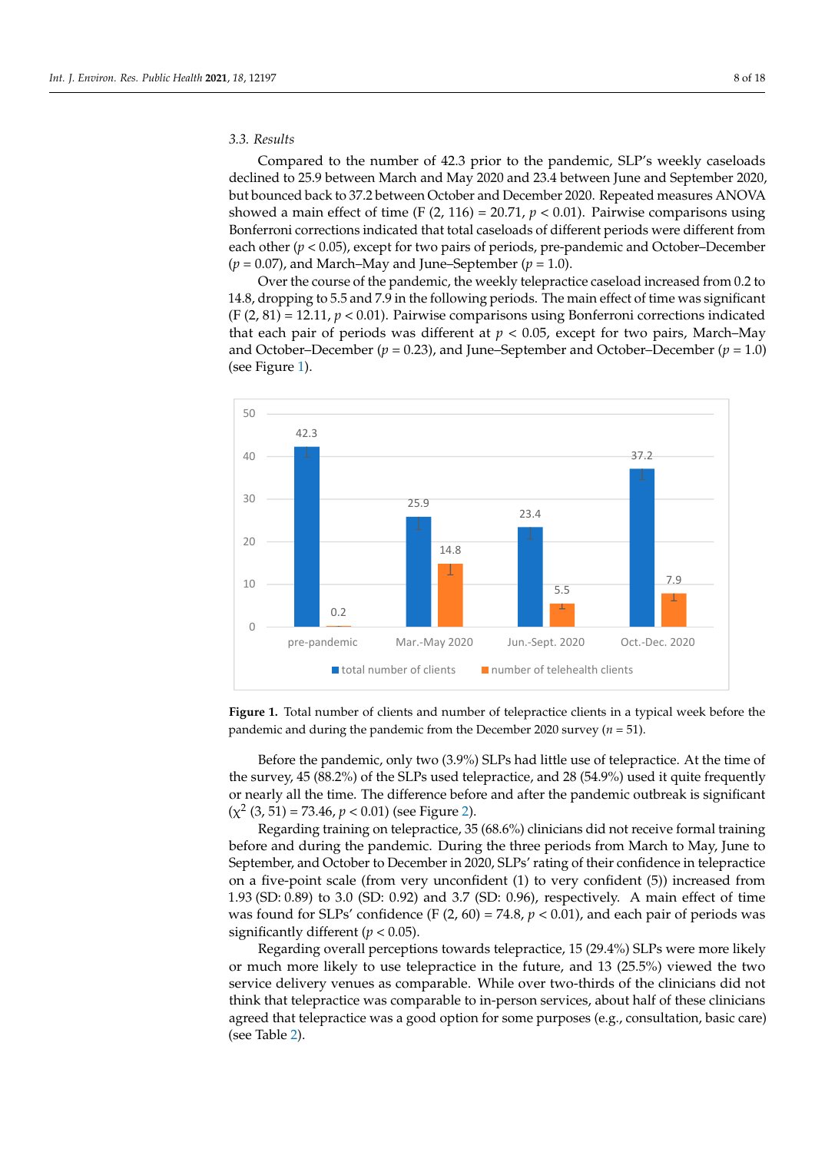#### *3.3. Results*

Compared to the number of 42.3 prior to the pandemic, SLP's weekly caseloads declined to 25.9 between March and May 2020 and 23.4 between June and September 2020, but bounced back to 37.2 between October and December 2020. Repeated measures ANOVA showed a main effect of time (F  $(2, 116) = 20.71$ ,  $p < 0.01$ ). Pairwise comparisons using Bonferroni corrections indicated that total caseloads of different periods were different from each other (*p* < 0.05), except for two pairs of periods, pre-pandemic and October–December  $(p = 0.07)$ , and March–May and June–September  $(p = 1.0)$ .

Over the course of the pandemic, the weekly telepractice caseload increased from 0.2 to 14.8, dropping to 5.5 and 7.9 in the following periods. The main effect of time was significant  $(F(2, 81) = 12.11, p < 0.01)$ . Pairwise comparisons using Bonferroni corrections indicated that each pair of periods was different at  $p < 0.05$ , except for two pairs, March–May and October–December  $(p = 0.23)$ , and June–September and October–December  $(p = 1.0)$ (see Figure [1\)](#page-7-0).

<span id="page-7-0"></span>

**Figure 1.** Total number of clients and number of telepractice clients in a typical week before the **Figure 1.** Total number of clients and number of telepractice clients in a typical week before the  $\frac{1}{2}$  pandemic and during the pandemic from the December 2020 survey (*n* = 51).

Before the pandemic, only two (3.9%) SLPs had little use of telepractice. At the time Before the pandemic, only two (3.9%) SLPs had little use of telepractice. At the time of the survey, 45 (88.2%) of the SLPs used telepractice, and 28 (54.9%) used it quite frequently or nearly all the time. The difference before and after the pandemic outbreak is significant  $(\chi^2 (3, 51) = 73.46, p < 0.01)$  [\(s](#page-8-0)ee Figure 2).

before and during the pandemic. During the three periods from March to May, June to Regarding training on telepractice, 35 (68.6%) clinicians did not receive formal training September, and October to December in 2020, SLPs' rating of their confidence in telepractice on a five-point scale (from very unconfident (1) to very confident (5)) increased from 1.93 (SD: 0.89) to 3.0 (SD: 0.92) and 3.7 (SD: 0.96), respectively. A main effect of time was found for SLPs' confidence (F  $(2, 60) = 74.8$ ,  $p < 0.01$ ), and each pair of periods was significantly different  $(p < 0.05)$ .

agreed that telepractice was a good option for some purposes (e.g., consultation, basic care)<br>( service delivery venues as comparable. While over two-thirds of the clinicians did not Regarding overall perceptions towards telepractice, 15 (29.4%) SLPs were more likely or much more likely to use telepractice in the future, and 13 (25.5%) viewed the two think that telepractice was comparable to in-person services, about half of these clinicians (see Table [2\)](#page-8-1).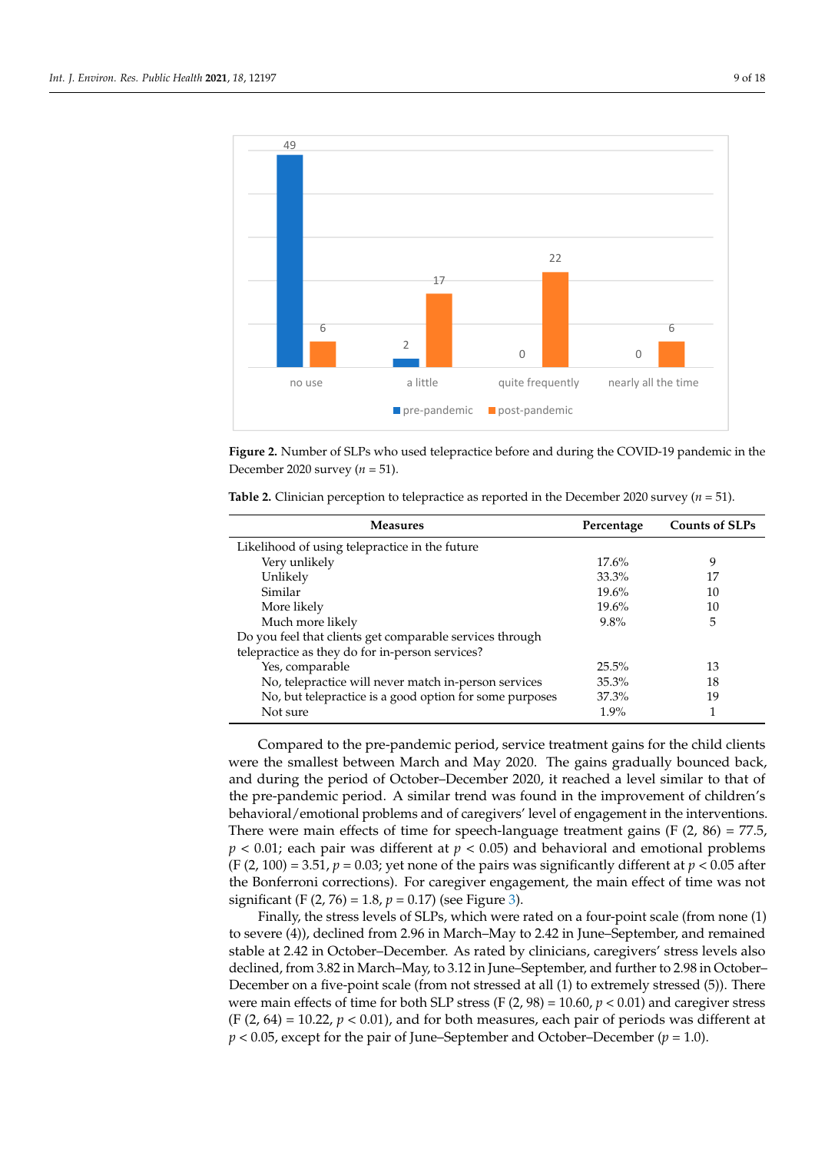<span id="page-8-0"></span>

 $\overline{\mathcal{M}}$  all the time. The difference before and after the pandemic outbreak is after the pandemic outbreak is a f

**Figure 2.** Number of SLPs who used telepractice before and during the COVID-19 pandemic in the **Figure 2.** Number of SLPs who used telepractice before and during the COVID-19 pandemic in the December 2020 survey (*n* = 51). December 2020 survey (*n* = 51).

| <b>Measures</b>                                          | Percentage | <b>Counts of SLPs</b> |
|----------------------------------------------------------|------------|-----------------------|
| Likelihood of using telepractice in the future           |            |                       |
| Very unlikely                                            | 17.6%      | 9                     |
| Unlikely                                                 | 33.3%      | 17                    |
| Similar                                                  | 19.6%      | 10                    |
| More likely                                              | 19.6%      | 10                    |
| Much more likely                                         | $9.8\%$    | 5                     |
| Do you feel that clients get comparable services through |            |                       |
| telepractice as they do for in-person services?          |            |                       |
| Yes, comparable                                          | 25.5%      | 13                    |
| No, telepractice will never match in-person services     | 35.3%      | 18                    |

No, but telepractice is a good option for some purposes 37.3% 19 Not sure that the surface of the set of the set of the set of the set of the set of the set of the set of the set of the set of the set of the set of the set of the set of the set of the set of the set of the set of the se

<span id="page-8-1"></span>**Table 2.** Clinician perception to telepractice as reported in the December 2020 survey  $(n = 51)$ .

Compared to the pre-pandemic period, service treatment gains for the child clients were the smallest between March and May 2020. The gains gradually bounced back, and during the period of October–December 2020, it reached a level similar to that of the pre-pandemic period. A similar trend was found in the improvement of children's behavioral/emotional problems and of caregivers' level of engagement in the interventions. There were main effects of time for speech-language treatment gains  $(F (2, 86) = 77.5,$ *p* < 0.01; each pair was different at *p* < 0.05) and behavioral and emotional problems (F  $(2, 100) = 3.51$ ,  $p = 0.03$ ; yet none of the pairs was significantly different at  $p < 0.05$  after the Bonferroni corrections). For caregiver engagement, the main effect of time was not significant (F (2, 76) = 1.8, *p* = 0.17) (see Figure [3\)](#page-9-0).

Finally, the stress levels of SLPs, which were rated on a four-point scale (from none (1) to severe (4)), declined from 2.96 in March–May to 2.42 in June–September, and remained stable at 2.42 in October–December. As rated by clinicians, caregivers' stress levels also declined, from 3.82 in March–May, to 3.12 in June–September, and further to 2.98 in October– December on a five-point scale (from not stressed at all (1) to extremely stressed (5)). There were main effects of time for both SLP stress (F  $(2, 98) = 10.60$ ,  $p < 0.01$ ) and caregiver stress  $(F(2, 64) = 10.22, p < 0.01)$ , and for both measures, each pair of periods was different at *p* < 0.05, except for the pair of June–September and October–December (*p* = 1.0).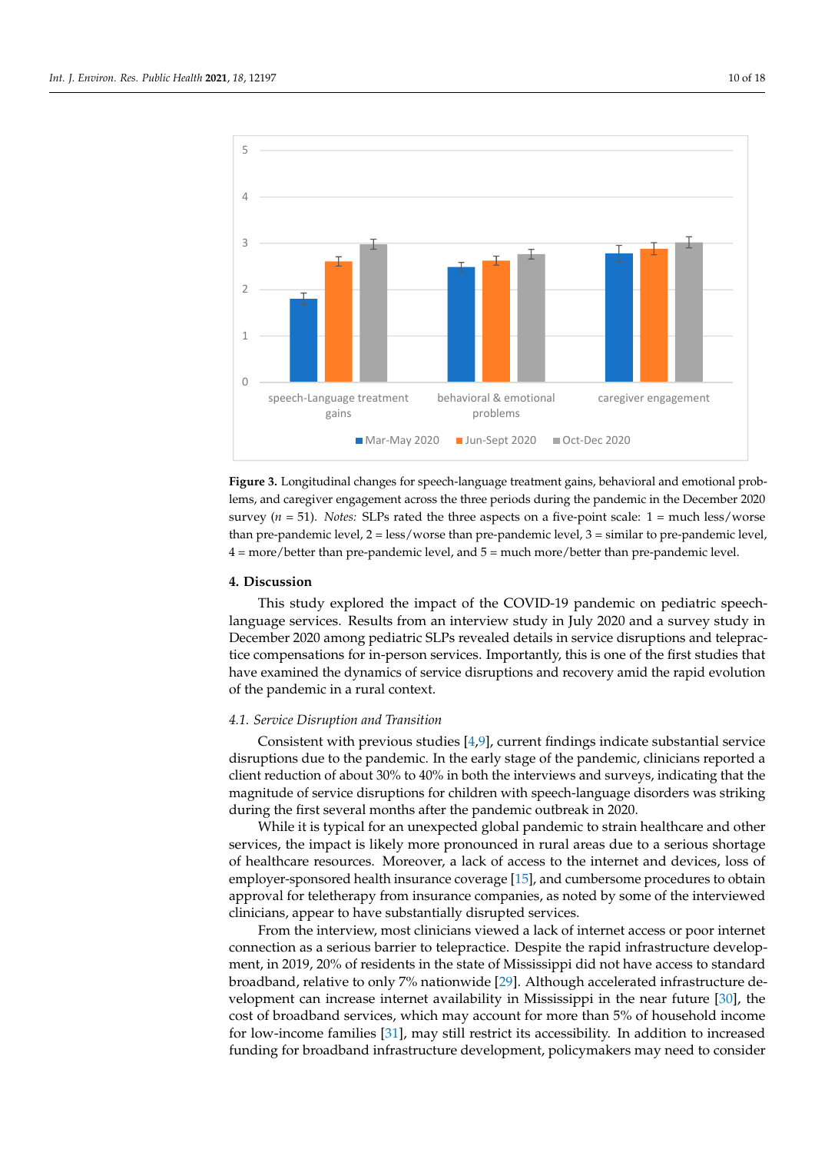<span id="page-9-0"></span>

**Figure 3.** Longitudinal changes for speech–language treatment gains, behavioral and emotional **Figure 3.** Longitudinal changes for speech-language treatment gains, behavioral and emotional problems, and caregiver engagement across the three periods during the pandemic in the December 2020 survey ( $n = 51$ ). Notes: SLPs rated the three aspects on a five-point scale: 1 = much less/worse  $t_{\text{max}}$  ( $t_{\text{max}}$  ),  $t_{\text{max}}$  below that the dispersion and pre-pandemic level,  $t_{\text{max}}$  matrix to prothan pre-pandemic level,  $2 =$  less/worse than pre-pandemic level,  $3 =$  similar to pre-pandemic level,  $4 = more/better than pre-pandemic level, and  $5 = much more/better than pre-pandemic level.$$ 

#### $\mathbf{F}_{\text{in}}$  is stress levels of  $\mathbf{F}_{\text{in}}$  which we rated on a four-point scale (from none) scale (from none **4. Discussion**

(1) to severe (4)), declined from 2.96 in March–May to 2.42 in June–September, and re-This study explored the impact of the COVID-19 pandemic on pediatric speechlanguage services. Results from an interview study in July 2020 and a survey study in  $\overline{\phantom{a}}$ December 2020 among pediatric SLPs revealed details in service disruptions and telepractice compensations for in-person services. Importantly, this is one of the first studies that have examined the dynamics of service disruptions and recovery amid the rapid evolution<br>collection of the pandemic in a rural context.

## 1.0). *4.1. Service Disruption and Transition*

**4.9** Consistent with previous studies [\[4,](#page-16-3)[9\]](#page-16-8), current findings indicate substantial service client reduction of about 30% to 40% in both the interviews and surveys, indicating that the magnitude of service disruptions for children with speech-language disorders was striking during the first several months after the pandemic outbreak in 2020. disruptions due to the pandemic. In the early stage of the pandemic, clinicians reported a

While it is typical for an unexpected global pandemic to strain healthcare and other services, the impact is likely more pronounced in rural areas due to a serious shortage of healthcare resources. Moreover, a lack of access to the internet and devices, loss of approval for teletherapy from insurance companies, as noted by some of the interviewed clinicians, appear to have substantially disrupted services. employer-sponsored health insurance coverage [\[15\]](#page-16-14), and cumbersome procedures to obtain

From the interview, most clinicians viewed a lack of internet access or poor internet connection as a serious barrier to telepractice. Despite the rapid infrastructure development, in 2019, 20% of residents in the state of Mississippi did not have access to standard broadband, relative to only 7% nationwide [\[29\]](#page-17-0). Although accelerated infrastructure de-velopment can increase internet availability in Mississippi in the near future [\[30\]](#page-17-1), the cost of broadband services, which may account for more than 5% of household income for low-income families  $[31]$ , may still restrict its accessibility. In addition to increased funding for broadband infrastructure development, policymakers may need to consider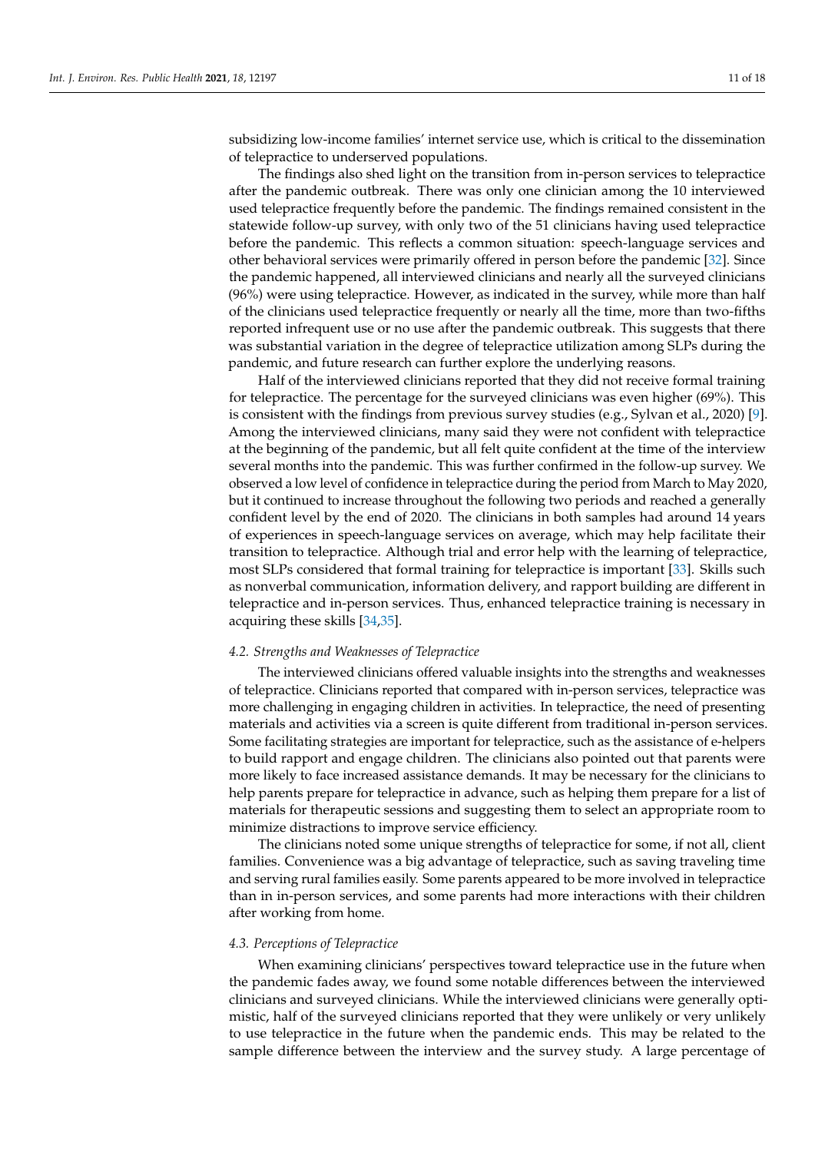subsidizing low-income families' internet service use, which is critical to the dissemination of telepractice to underserved populations.

The findings also shed light on the transition from in-person services to telepractice after the pandemic outbreak. There was only one clinician among the 10 interviewed used telepractice frequently before the pandemic. The findings remained consistent in the statewide follow-up survey, with only two of the 51 clinicians having used telepractice before the pandemic. This reflects a common situation: speech-language services and other behavioral services were primarily offered in person before the pandemic [\[32\]](#page-17-3). Since the pandemic happened, all interviewed clinicians and nearly all the surveyed clinicians (96%) were using telepractice. However, as indicated in the survey, while more than half of the clinicians used telepractice frequently or nearly all the time, more than two-fifths reported infrequent use or no use after the pandemic outbreak. This suggests that there was substantial variation in the degree of telepractice utilization among SLPs during the pandemic, and future research can further explore the underlying reasons.

Half of the interviewed clinicians reported that they did not receive formal training for telepractice. The percentage for the surveyed clinicians was even higher (69%). This is consistent with the findings from previous survey studies (e.g., Sylvan et al., 2020) [\[9\]](#page-16-8). Among the interviewed clinicians, many said they were not confident with telepractice at the beginning of the pandemic, but all felt quite confident at the time of the interview several months into the pandemic. This was further confirmed in the follow-up survey. We observed a low level of confidence in telepractice during the period from March to May 2020, but it continued to increase throughout the following two periods and reached a generally confident level by the end of 2020. The clinicians in both samples had around 14 years of experiences in speech-language services on average, which may help facilitate their transition to telepractice. Although trial and error help with the learning of telepractice, most SLPs considered that formal training for telepractice is important [\[33\]](#page-17-4). Skills such as nonverbal communication, information delivery, and rapport building are different in telepractice and in-person services. Thus, enhanced telepractice training is necessary in acquiring these skills [\[34,](#page-17-5)[35\]](#page-17-6).

#### *4.2. Strengths and Weaknesses of Telepractice*

The interviewed clinicians offered valuable insights into the strengths and weaknesses of telepractice. Clinicians reported that compared with in-person services, telepractice was more challenging in engaging children in activities. In telepractice, the need of presenting materials and activities via a screen is quite different from traditional in-person services. Some facilitating strategies are important for telepractice, such as the assistance of e-helpers to build rapport and engage children. The clinicians also pointed out that parents were more likely to face increased assistance demands. It may be necessary for the clinicians to help parents prepare for telepractice in advance, such as helping them prepare for a list of materials for therapeutic sessions and suggesting them to select an appropriate room to minimize distractions to improve service efficiency.

The clinicians noted some unique strengths of telepractice for some, if not all, client families. Convenience was a big advantage of telepractice, such as saving traveling time and serving rural families easily. Some parents appeared to be more involved in telepractice than in in-person services, and some parents had more interactions with their children after working from home.

#### *4.3. Perceptions of Telepractice*

When examining clinicians' perspectives toward telepractice use in the future when the pandemic fades away, we found some notable differences between the interviewed clinicians and surveyed clinicians. While the interviewed clinicians were generally optimistic, half of the surveyed clinicians reported that they were unlikely or very unlikely to use telepractice in the future when the pandemic ends. This may be related to the sample difference between the interview and the survey study. A large percentage of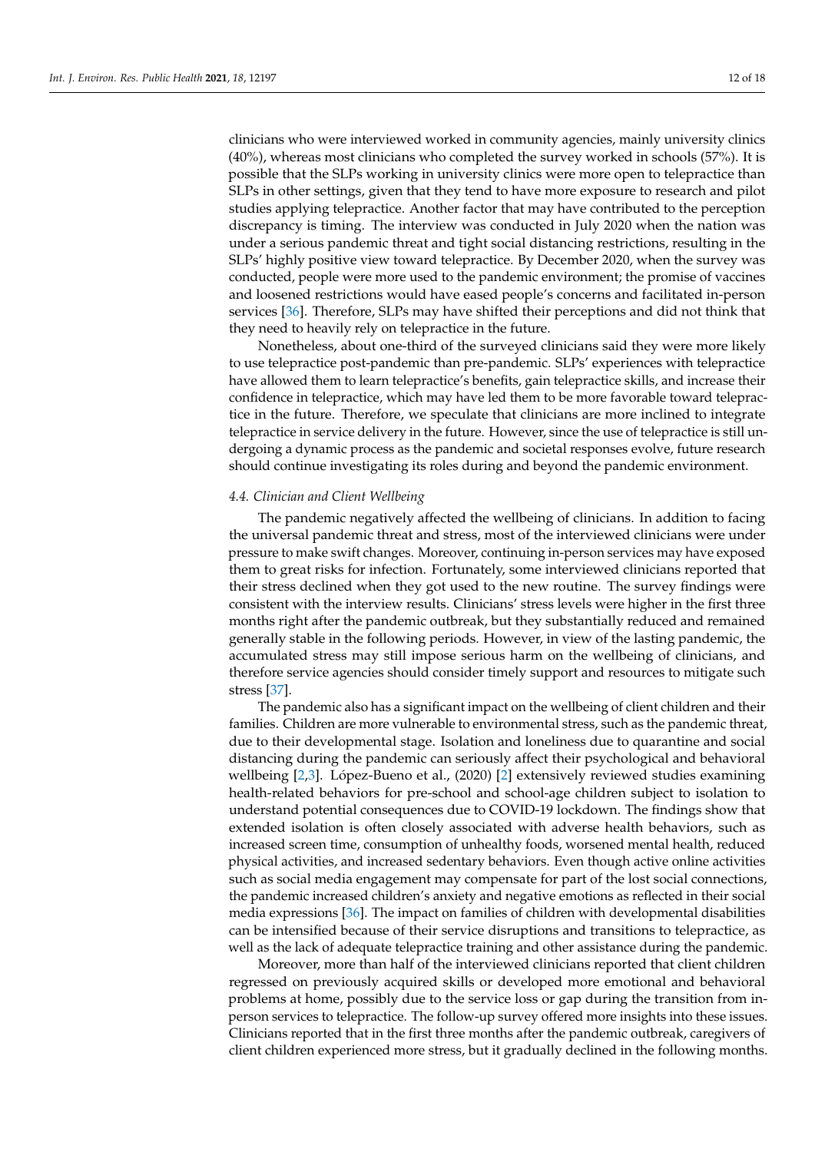clinicians who were interviewed worked in community agencies, mainly university clinics (40%), whereas most clinicians who completed the survey worked in schools (57%). It is possible that the SLPs working in university clinics were more open to telepractice than SLPs in other settings, given that they tend to have more exposure to research and pilot studies applying telepractice. Another factor that may have contributed to the perception discrepancy is timing. The interview was conducted in July 2020 when the nation was under a serious pandemic threat and tight social distancing restrictions, resulting in the SLPs' highly positive view toward telepractice. By December 2020, when the survey was conducted, people were more used to the pandemic environment; the promise of vaccines and loosened restrictions would have eased people's concerns and facilitated in-person services [\[36\]](#page-17-7). Therefore, SLPs may have shifted their perceptions and did not think that they need to heavily rely on telepractice in the future.

Nonetheless, about one-third of the surveyed clinicians said they were more likely to use telepractice post-pandemic than pre-pandemic. SLPs' experiences with telepractice have allowed them to learn telepractice's benefits, gain telepractice skills, and increase their confidence in telepractice, which may have led them to be more favorable toward telepractice in the future. Therefore, we speculate that clinicians are more inclined to integrate telepractice in service delivery in the future. However, since the use of telepractice is still undergoing a dynamic process as the pandemic and societal responses evolve, future research should continue investigating its roles during and beyond the pandemic environment.

#### *4.4. Clinician and Client Wellbeing*

The pandemic negatively affected the wellbeing of clinicians. In addition to facing the universal pandemic threat and stress, most of the interviewed clinicians were under pressure to make swift changes. Moreover, continuing in-person services may have exposed them to great risks for infection. Fortunately, some interviewed clinicians reported that their stress declined when they got used to the new routine. The survey findings were consistent with the interview results. Clinicians' stress levels were higher in the first three months right after the pandemic outbreak, but they substantially reduced and remained generally stable in the following periods. However, in view of the lasting pandemic, the accumulated stress may still impose serious harm on the wellbeing of clinicians, and therefore service agencies should consider timely support and resources to mitigate such stress [\[37\]](#page-17-8).

The pandemic also has a significant impact on the wellbeing of client children and their families. Children are more vulnerable to environmental stress, such as the pandemic threat, due to their developmental stage. Isolation and loneliness due to quarantine and social distancing during the pandemic can seriously affect their psychological and behavioral wellbeing [\[2](#page-16-1)[,3\]](#page-16-2). López-Bueno et al., (2020) [\[2\]](#page-16-1) extensively reviewed studies examining health-related behaviors for pre-school and school-age children subject to isolation to understand potential consequences due to COVID-19 lockdown. The findings show that extended isolation is often closely associated with adverse health behaviors, such as increased screen time, consumption of unhealthy foods, worsened mental health, reduced physical activities, and increased sedentary behaviors. Even though active online activities such as social media engagement may compensate for part of the lost social connections, the pandemic increased children's anxiety and negative emotions as reflected in their social media expressions [\[36\]](#page-17-7). The impact on families of children with developmental disabilities can be intensified because of their service disruptions and transitions to telepractice, as well as the lack of adequate telepractice training and other assistance during the pandemic.

Moreover, more than half of the interviewed clinicians reported that client children regressed on previously acquired skills or developed more emotional and behavioral problems at home, possibly due to the service loss or gap during the transition from inperson services to telepractice. The follow-up survey offered more insights into these issues. Clinicians reported that in the first three months after the pandemic outbreak, caregivers of client children experienced more stress, but it gradually declined in the following months.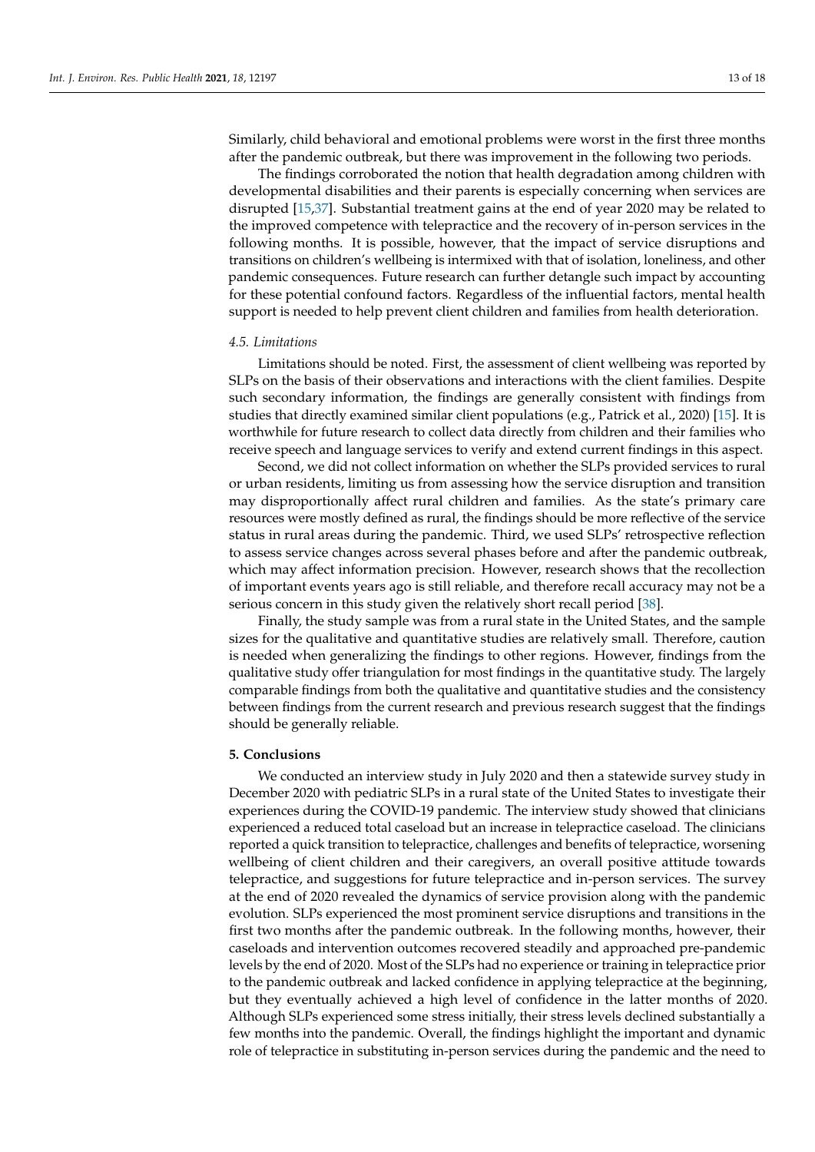Similarly, child behavioral and emotional problems were worst in the first three months after the pandemic outbreak, but there was improvement in the following two periods.

The findings corroborated the notion that health degradation among children with developmental disabilities and their parents is especially concerning when services are disrupted [\[15](#page-16-14)[,37\]](#page-17-8). Substantial treatment gains at the end of year 2020 may be related to the improved competence with telepractice and the recovery of in-person services in the following months. It is possible, however, that the impact of service disruptions and transitions on children's wellbeing is intermixed with that of isolation, loneliness, and other pandemic consequences. Future research can further detangle such impact by accounting for these potential confound factors. Regardless of the influential factors, mental health support is needed to help prevent client children and families from health deterioration.

#### *4.5. Limitations*

Limitations should be noted. First, the assessment of client wellbeing was reported by SLPs on the basis of their observations and interactions with the client families. Despite such secondary information, the findings are generally consistent with findings from studies that directly examined similar client populations (e.g., Patrick et al., 2020) [\[15\]](#page-16-14). It is worthwhile for future research to collect data directly from children and their families who receive speech and language services to verify and extend current findings in this aspect.

Second, we did not collect information on whether the SLPs provided services to rural or urban residents, limiting us from assessing how the service disruption and transition may disproportionally affect rural children and families. As the state's primary care resources were mostly defined as rural, the findings should be more reflective of the service status in rural areas during the pandemic. Third, we used SLPs' retrospective reflection to assess service changes across several phases before and after the pandemic outbreak, which may affect information precision. However, research shows that the recollection of important events years ago is still reliable, and therefore recall accuracy may not be a serious concern in this study given the relatively short recall period [\[38\]](#page-17-9).

Finally, the study sample was from a rural state in the United States, and the sample sizes for the qualitative and quantitative studies are relatively small. Therefore, caution is needed when generalizing the findings to other regions. However, findings from the qualitative study offer triangulation for most findings in the quantitative study. The largely comparable findings from both the qualitative and quantitative studies and the consistency between findings from the current research and previous research suggest that the findings should be generally reliable.

#### **5. Conclusions**

We conducted an interview study in July 2020 and then a statewide survey study in December 2020 with pediatric SLPs in a rural state of the United States to investigate their experiences during the COVID-19 pandemic. The interview study showed that clinicians experienced a reduced total caseload but an increase in telepractice caseload. The clinicians reported a quick transition to telepractice, challenges and benefits of telepractice, worsening wellbeing of client children and their caregivers, an overall positive attitude towards telepractice, and suggestions for future telepractice and in-person services. The survey at the end of 2020 revealed the dynamics of service provision along with the pandemic evolution. SLPs experienced the most prominent service disruptions and transitions in the first two months after the pandemic outbreak. In the following months, however, their caseloads and intervention outcomes recovered steadily and approached pre-pandemic levels by the end of 2020. Most of the SLPs had no experience or training in telepractice prior to the pandemic outbreak and lacked confidence in applying telepractice at the beginning, but they eventually achieved a high level of confidence in the latter months of 2020. Although SLPs experienced some stress initially, their stress levels declined substantially a few months into the pandemic. Overall, the findings highlight the important and dynamic role of telepractice in substituting in-person services during the pandemic and the need to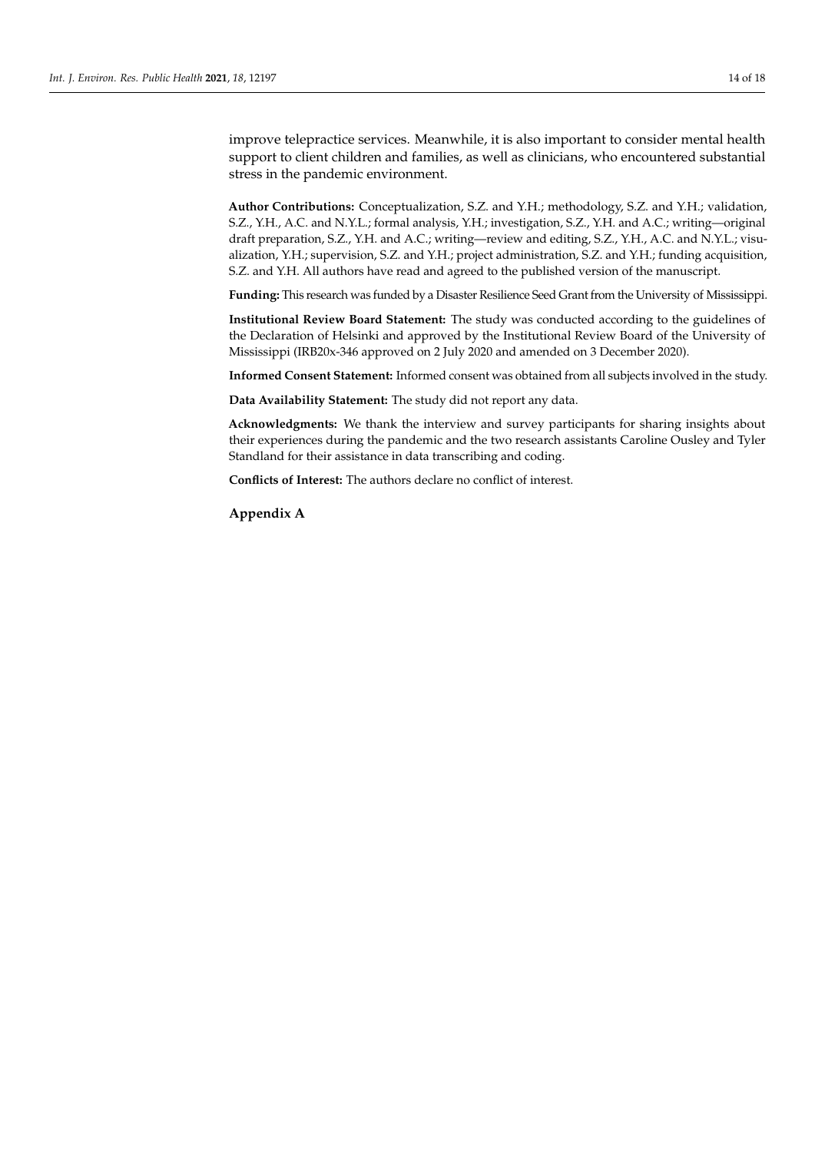improve telepractice services. Meanwhile, it is also important to consider mental health support to client children and families, as well as clinicians, who encountered substantial stress in the pandemic environment.

**Author Contributions:** Conceptualization, S.Z. and Y.H.; methodology, S.Z. and Y.H.; validation, S.Z., Y.H., A.C. and N.Y.L.; formal analysis, Y.H.; investigation, S.Z., Y.H. and A.C.; writing—original draft preparation, S.Z., Y.H. and A.C.; writing—review and editing, S.Z., Y.H., A.C. and N.Y.L.; visualization, Y.H.; supervision, S.Z. and Y.H.; project administration, S.Z. and Y.H.; funding acquisition, S.Z. and Y.H. All authors have read and agreed to the published version of the manuscript.

**Funding:** This research was funded by a Disaster Resilience Seed Grant from the University of Mississippi.

**Institutional Review Board Statement:** The study was conducted according to the guidelines of the Declaration of Helsinki and approved by the Institutional Review Board of the University of Mississippi (IRB20x-346 approved on 2 July 2020 and amended on 3 December 2020).

**Informed Consent Statement:** Informed consent was obtained from all subjects involved in the study.

**Data Availability Statement:** The study did not report any data.

**Acknowledgments:** We thank the interview and survey participants for sharing insights about their experiences during the pandemic and the two research assistants Caroline Ousley and Tyler Standland for their assistance in data transcribing and coding.

**Conflicts of Interest:** The authors declare no conflict of interest.

<span id="page-13-0"></span>**Appendix A**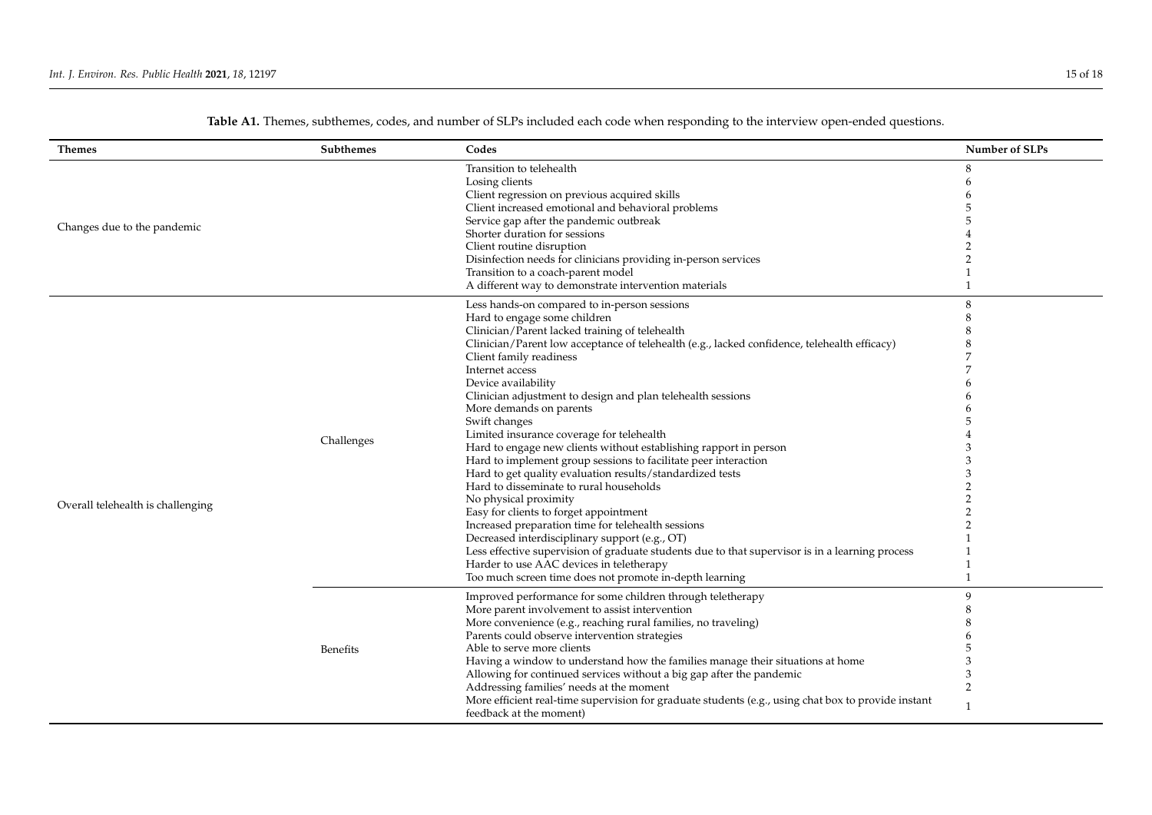| <b>Themes</b>                     | Subthemes  | Codes                                                                                                                                                                                                                                                                                                                                                                                                                                                                                                                                                                                                                                                                                                                                                                                                                                                                                                                                                                                                                                                                                            | Number of SLPs           |
|-----------------------------------|------------|--------------------------------------------------------------------------------------------------------------------------------------------------------------------------------------------------------------------------------------------------------------------------------------------------------------------------------------------------------------------------------------------------------------------------------------------------------------------------------------------------------------------------------------------------------------------------------------------------------------------------------------------------------------------------------------------------------------------------------------------------------------------------------------------------------------------------------------------------------------------------------------------------------------------------------------------------------------------------------------------------------------------------------------------------------------------------------------------------|--------------------------|
| Changes due to the pandemic       |            | Transition to telehealth<br>Losing clients<br>Client regression on previous acquired skills<br>Client increased emotional and behavioral problems<br>Service gap after the pandemic outbreak<br>Shorter duration for sessions<br>Client routine disruption<br>Disinfection needs for clinicians providing in-person services<br>Transition to a coach-parent model<br>A different way to demonstrate intervention materials                                                                                                                                                                                                                                                                                                                                                                                                                                                                                                                                                                                                                                                                      | 8                        |
| Overall telehealth is challenging | Challenges | Less hands-on compared to in-person sessions<br>Hard to engage some children<br>Clinician/Parent lacked training of telehealth<br>Clinician/Parent low acceptance of telehealth (e.g., lacked confidence, telehealth efficacy)<br>Client family readiness<br>Internet access<br>Device availability<br>Clinician adjustment to design and plan telehealth sessions<br>More demands on parents<br>Swift changes<br>Limited insurance coverage for telehealth<br>Hard to engage new clients without establishing rapport in person<br>Hard to implement group sessions to facilitate peer interaction<br>Hard to get quality evaluation results/standardized tests<br>Hard to disseminate to rural households<br>No physical proximity<br>Easy for clients to forget appointment<br>Increased preparation time for telehealth sessions<br>Decreased interdisciplinary support (e.g., OT)<br>Less effective supervision of graduate students due to that supervisor is in a learning process<br>Harder to use AAC devices in teletherapy<br>Too much screen time does not promote in-depth learning | 3<br>$\mathbf{1}$        |
|                                   | Benefits   | Improved performance for some children through teletherapy<br>More parent involvement to assist intervention<br>More convenience (e.g., reaching rural families, no traveling)<br>Parents could observe intervention strategies<br>Able to serve more clients<br>Having a window to understand how the families manage their situations at home<br>Allowing for continued services without a big gap after the pandemic<br>Addressing families' needs at the moment<br>More efficient real-time supervision for graduate students (e.g., using chat box to provide instant<br>feedback at the moment)                                                                                                                                                                                                                                                                                                                                                                                                                                                                                            | q<br>3<br>$\overline{2}$ |

**Table A1.** Themes, subthemes, codes, and number of SLPs included each code when responding to the interview open-ended questions.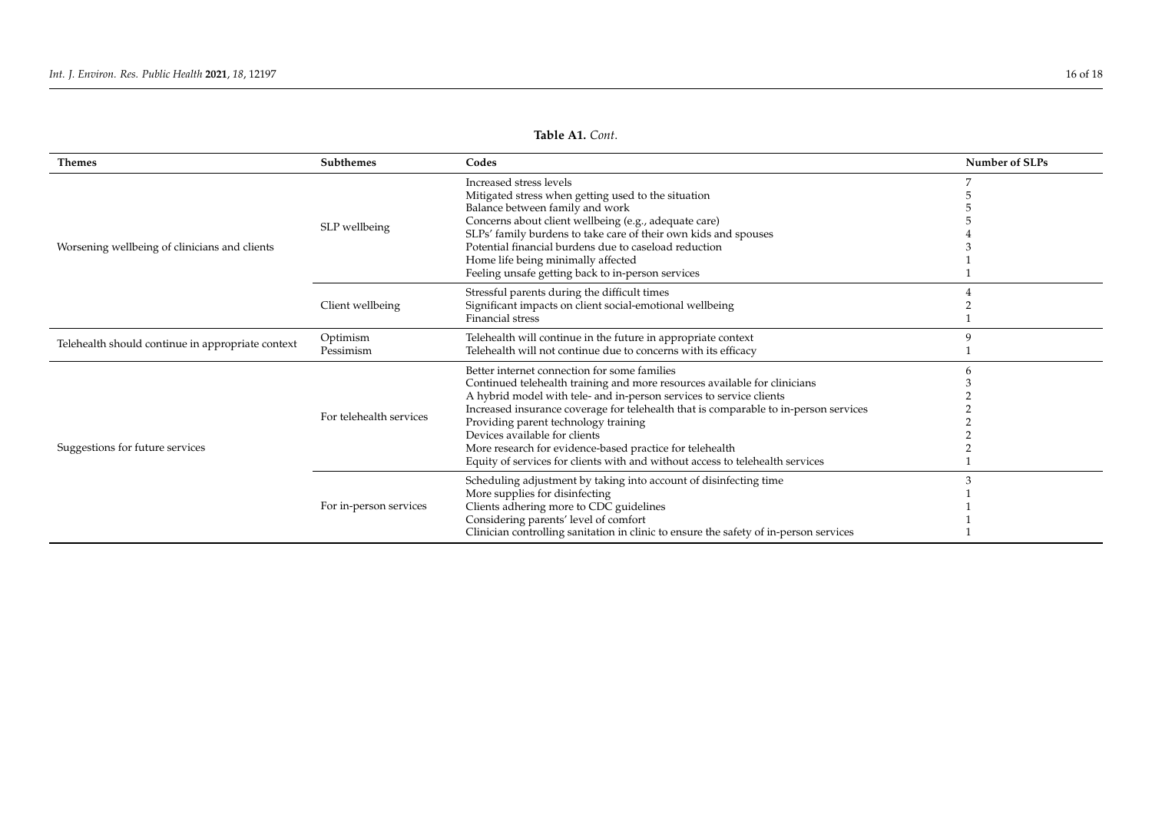| <b>Themes</b>                                     | <b>Subthemes</b>        | Codes                                                                                                                                                                                                                                                                                                                                                                                                                                                                                                          | Number of SLPs |
|---------------------------------------------------|-------------------------|----------------------------------------------------------------------------------------------------------------------------------------------------------------------------------------------------------------------------------------------------------------------------------------------------------------------------------------------------------------------------------------------------------------------------------------------------------------------------------------------------------------|----------------|
| Worsening wellbeing of clinicians and clients     | SLP wellbeing           | Increased stress levels<br>Mitigated stress when getting used to the situation<br>Balance between family and work<br>Concerns about client wellbeing (e.g., adequate care)                                                                                                                                                                                                                                                                                                                                     |                |
|                                                   |                         | SLPs' family burdens to take care of their own kids and spouses<br>Potential financial burdens due to caseload reduction<br>Home life being minimally affected<br>Feeling unsafe getting back to in-person services                                                                                                                                                                                                                                                                                            |                |
|                                                   | Client wellbeing        | Stressful parents during the difficult times<br>Significant impacts on client social-emotional wellbeing<br>Financial stress                                                                                                                                                                                                                                                                                                                                                                                   |                |
| Telehealth should continue in appropriate context | Optimism<br>Pessimism   | Telehealth will continue in the future in appropriate context<br>Telehealth will not continue due to concerns with its efficacy                                                                                                                                                                                                                                                                                                                                                                                |                |
| Suggestions for future services                   | For telehealth services | Better internet connection for some families<br>Continued telehealth training and more resources available for clinicians<br>A hybrid model with tele- and in-person services to service clients<br>Increased insurance coverage for telehealth that is comparable to in-person services<br>Providing parent technology training<br>Devices available for clients<br>More research for evidence-based practice for telehealth<br>Equity of services for clients with and without access to telehealth services |                |
|                                                   | For in-person services  | Scheduling adjustment by taking into account of disinfecting time<br>More supplies for disinfecting<br>Clients adhering more to CDC guidelines<br>Considering parents' level of comfort<br>Clinician controlling sanitation in clinic to ensure the safety of in-person services                                                                                                                                                                                                                               |                |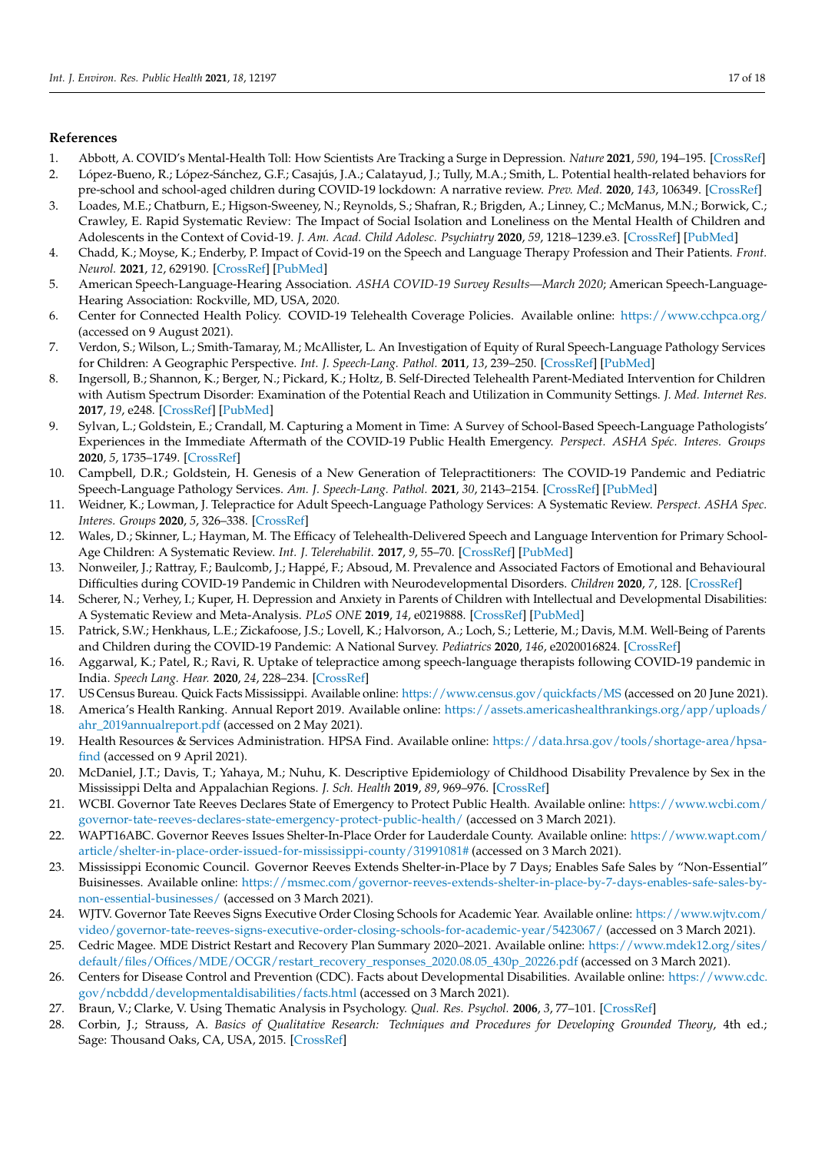#### **References**

- <span id="page-16-0"></span>1. Abbott, A. COVID's Mental-Health Toll: How Scientists Are Tracking a Surge in Depression. *Nature* **2021**, *590*, 194–195. [\[CrossRef\]](http://doi.org/10.1038/d41586-021-00175-z)
- <span id="page-16-1"></span>2. López-Bueno, R.; López-Sánchez, G.F.; Casajús, J.A.; Calatayud, J.; Tully, M.A.; Smith, L. Potential health-related behaviors for pre-school and school-aged children during COVID-19 lockdown: A narrative review. *Prev. Med.* **2020**, *143*, 106349. [\[CrossRef\]](http://doi.org/10.1016/j.ypmed.2020.106349)
- <span id="page-16-2"></span>3. Loades, M.E.; Chatburn, E.; Higson-Sweeney, N.; Reynolds, S.; Shafran, R.; Brigden, A.; Linney, C.; McManus, M.N.; Borwick, C.; Crawley, E. Rapid Systematic Review: The Impact of Social Isolation and Loneliness on the Mental Health of Children and Adolescents in the Context of Covid-19. *J. Am. Acad. Child Adolesc. Psychiatry* **2020**, *59*, 1218–1239.e3. [\[CrossRef\]](http://doi.org/10.1016/j.jaac.2020.05.009) [\[PubMed\]](http://www.ncbi.nlm.nih.gov/pubmed/32504808)
- <span id="page-16-3"></span>4. Chadd, K.; Moyse, K.; Enderby, P. Impact of Covid-19 on the Speech and Language Therapy Profession and Their Patients. *Front. Neurol.* **2021**, *12*, 629190. [\[CrossRef\]](http://doi.org/10.3389/fneur.2021.629190) [\[PubMed\]](http://www.ncbi.nlm.nih.gov/pubmed/33679590)
- <span id="page-16-4"></span>5. American Speech-Language-Hearing Association. *ASHA COVID-19 Survey Results—March 2020*; American Speech-Language-Hearing Association: Rockville, MD, USA, 2020.
- <span id="page-16-5"></span>6. Center for Connected Health Policy. COVID-19 Telehealth Coverage Policies. Available online: <https://www.cchpca.org/> (accessed on 9 August 2021).
- <span id="page-16-6"></span>7. Verdon, S.; Wilson, L.; Smith-Tamaray, M.; McAllister, L. An Investigation of Equity of Rural Speech-Language Pathology Services for Children: A Geographic Perspective. *Int. J. Speech-Lang. Pathol.* **2011**, *13*, 239–250. [\[CrossRef\]](http://doi.org/10.3109/17549507.2011.573865) [\[PubMed\]](http://www.ncbi.nlm.nih.gov/pubmed/21563898)
- <span id="page-16-7"></span>8. Ingersoll, B.; Shannon, K.; Berger, N.; Pickard, K.; Holtz, B. Self-Directed Telehealth Parent-Mediated Intervention for Children with Autism Spectrum Disorder: Examination of the Potential Reach and Utilization in Community Settings. *J. Med. Internet Res.* **2017**, *19*, e248. [\[CrossRef\]](http://doi.org/10.2196/jmir.7484) [\[PubMed\]](http://www.ncbi.nlm.nih.gov/pubmed/28701294)
- <span id="page-16-8"></span>9. Sylvan, L.; Goldstein, E.; Crandall, M. Capturing a Moment in Time: A Survey of School-Based Speech-Language Pathologists' Experiences in the Immediate Aftermath of the COVID-19 Public Health Emergency. *Perspect. ASHA Spéc. Interes. Groups* **2020**, *5*, 1735–1749. [\[CrossRef\]](http://doi.org/10.1044/2020_PERSP-20-00182)
- <span id="page-16-9"></span>10. Campbell, D.R.; Goldstein, H. Genesis of a New Generation of Telepractitioners: The COVID-19 Pandemic and Pediatric Speech-Language Pathology Services. *Am. J. Speech-Lang. Pathol.* **2021**, *30*, 2143–2154. [\[CrossRef\]](http://doi.org/10.1044/2021_AJSLP-21-00013) [\[PubMed\]](http://www.ncbi.nlm.nih.gov/pubmed/34411487)
- <span id="page-16-10"></span>11. Weidner, K.; Lowman, J. Telepractice for Adult Speech-Language Pathology Services: A Systematic Review. *Perspect. ASHA Spec. Interes. Groups* **2020**, *5*, 326–338. [\[CrossRef\]](http://doi.org/10.1044/2019_PERSP-19-00146)
- <span id="page-16-11"></span>12. Wales, D.; Skinner, L.; Hayman, M. The Efficacy of Telehealth-Delivered Speech and Language Intervention for Primary School-Age Children: A Systematic Review. *Int. J. Telerehabilit.* **2017**, *9*, 55–70. [\[CrossRef\]](http://doi.org/10.5195/ijt.2017.6219) [\[PubMed\]](http://www.ncbi.nlm.nih.gov/pubmed/28814995)
- <span id="page-16-12"></span>13. Nonweiler, J.; Rattray, F.; Baulcomb, J.; Happé, F.; Absoud, M. Prevalence and Associated Factors of Emotional and Behavioural Difficulties during COVID-19 Pandemic in Children with Neurodevelopmental Disorders. *Children* **2020**, *7*, 128. [\[CrossRef\]](http://doi.org/10.3390/children7090128)
- <span id="page-16-13"></span>14. Scherer, N.; Verhey, I.; Kuper, H. Depression and Anxiety in Parents of Children with Intellectual and Developmental Disabilities: A Systematic Review and Meta-Analysis. *PLoS ONE* **2019**, *14*, e0219888. [\[CrossRef\]](http://doi.org/10.1371/journal.pone.0219888) [\[PubMed\]](http://www.ncbi.nlm.nih.gov/pubmed/31361768)
- <span id="page-16-14"></span>15. Patrick, S.W.; Henkhaus, L.E.; Zickafoose, J.S.; Lovell, K.; Halvorson, A.; Loch, S.; Letterie, M.; Davis, M.M. Well-Being of Parents and Children during the COVID-19 Pandemic: A National Survey. *Pediatrics* **2020**, *146*, e2020016824. [\[CrossRef\]](http://doi.org/10.1542/peds.2020-016824)
- <span id="page-16-15"></span>16. Aggarwal, K.; Patel, R.; Ravi, R. Uptake of telepractice among speech-language therapists following COVID-19 pandemic in India. *Speech Lang. Hear.* **2020**, *24*, 228–234. [\[CrossRef\]](http://doi.org/10.1080/2050571X.2020.1812034)
- <span id="page-16-16"></span>17. US Census Bureau. Quick Facts Mississippi. Available online: <https://www.census.gov/quickfacts/MS> (accessed on 20 June 2021).
- <span id="page-16-17"></span>18. America's Health Ranking. Annual Report 2019. Available online: [https://assets.americashealthrankings.org/app/uploads/](https://assets.americashealthrankings.org/app/uploads/ahr_2019annualreport.pdf) [ahr\\_2019annualreport.pdf](https://assets.americashealthrankings.org/app/uploads/ahr_2019annualreport.pdf) (accessed on 2 May 2021).
- <span id="page-16-18"></span>19. Health Resources & Services Administration. HPSA Find. Available online: [https://data.hrsa.gov/tools/shortage-area/hpsa](https://data.hrsa.gov/tools/shortage-area/hpsa-find)[find](https://data.hrsa.gov/tools/shortage-area/hpsa-find) (accessed on 9 April 2021).
- <span id="page-16-19"></span>20. McDaniel, J.T.; Davis, T.; Yahaya, M.; Nuhu, K. Descriptive Epidemiology of Childhood Disability Prevalence by Sex in the Mississippi Delta and Appalachian Regions. *J. Sch. Health* **2019**, *89*, 969–976. [\[CrossRef\]](http://doi.org/10.1111/josh.12837)
- <span id="page-16-20"></span>21. WCBI. Governor Tate Reeves Declares State of Emergency to Protect Public Health. Available online: [https://www.wcbi.com/](https://www.wcbi.com/governor-tate-reeves-declares-state-emergency-protect-public-health/) [governor-tate-reeves-declares-state-emergency-protect-public-health/](https://www.wcbi.com/governor-tate-reeves-declares-state-emergency-protect-public-health/) (accessed on 3 March 2021).
- <span id="page-16-21"></span>22. WAPT16ABC. Governor Reeves Issues Shelter-In-Place Order for Lauderdale County. Available online: [https://www.wapt.com/](https://www.wapt.com/article/shelter-in-place-order-issued-for-mississippi-county/31991081#) [article/shelter-in-place-order-issued-for-mississippi-county/31991081#](https://www.wapt.com/article/shelter-in-place-order-issued-for-mississippi-county/31991081#) (accessed on 3 March 2021).
- <span id="page-16-22"></span>23. Mississippi Economic Council. Governor Reeves Extends Shelter-in-Place by 7 Days; Enables Safe Sales by "Non-Essential" Buisinesses. Available online: [https://msmec.com/governor-reeves-extends-shelter-in-place-by-7-days-enables-safe-sales-by](https://msmec.com/governor-reeves-extends-shelter-in-place-by-7-days-enables-safe-sales-by-non-essential-businesses/)[non-essential-businesses/](https://msmec.com/governor-reeves-extends-shelter-in-place-by-7-days-enables-safe-sales-by-non-essential-businesses/) (accessed on 3 March 2021).
- <span id="page-16-23"></span>24. WJTV. Governor Tate Reeves Signs Executive Order Closing Schools for Academic Year. Available online: [https://www.wjtv.com/](https://www.wjtv.com/video/governor-tate-reeves-signs-executive-order-closing-schools-for-academic-year/5423067/) [video/governor-tate-reeves-signs-executive-order-closing-schools-for-academic-year/5423067/](https://www.wjtv.com/video/governor-tate-reeves-signs-executive-order-closing-schools-for-academic-year/5423067/) (accessed on 3 March 2021).
- <span id="page-16-24"></span>25. Cedric Magee. MDE District Restart and Recovery Plan Summary 2020–2021. Available online: [https://www.mdek12.org/sites/](https://www.mdek12.org/sites/default/files/Offices/MDE/OCGR/restart_recovery_responses_2020.08.05_430p_20226.pdf) [default/files/Offices/MDE/OCGR/restart\\_recovery\\_responses\\_2020.08.05\\_430p\\_20226.pdf](https://www.mdek12.org/sites/default/files/Offices/MDE/OCGR/restart_recovery_responses_2020.08.05_430p_20226.pdf) (accessed on 3 March 2021).
- <span id="page-16-25"></span>26. Centers for Disease Control and Prevention (CDC). Facts about Developmental Disabilities. Available online: [https://www.cdc.](https://www.cdc.gov/ncbddd/developmentaldisabilities/facts.html) [gov/ncbddd/developmentaldisabilities/facts.html](https://www.cdc.gov/ncbddd/developmentaldisabilities/facts.html) (accessed on 3 March 2021).
- <span id="page-16-26"></span>27. Braun, V.; Clarke, V. Using Thematic Analysis in Psychology. *Qual. Res. Psychol.* **2006**, *3*, 77–101. [\[CrossRef\]](http://doi.org/10.1191/1478088706qp063oa)
- <span id="page-16-27"></span>28. Corbin, J.; Strauss, A. *Basics of Qualitative Research: Techniques and Procedures for Developing Grounded Theory*, 4th ed.; Sage: Thousand Oaks, CA, USA, 2015. [\[CrossRef\]](http://doi.org/10.4135/9781452230153)